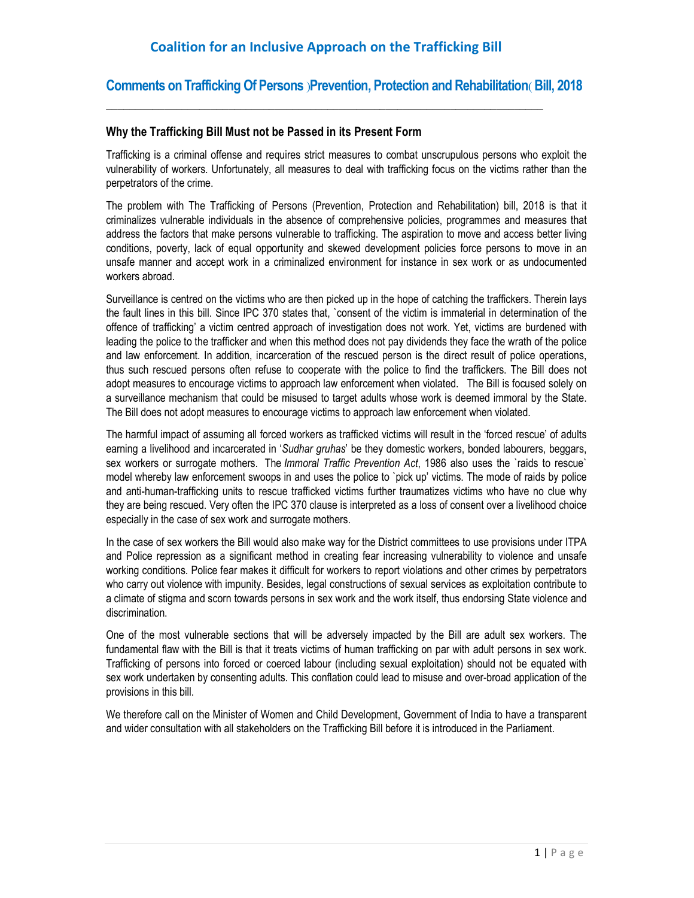\_\_\_\_\_\_\_\_\_\_\_\_\_\_\_\_\_\_\_\_\_\_\_\_\_\_\_\_\_\_\_\_\_\_\_\_\_\_\_\_\_\_\_\_\_\_\_\_\_\_\_\_\_\_\_\_\_\_\_\_\_\_\_\_\_\_\_\_\_\_\_\_\_\_\_

### **Comments on Trafficking Of Persons** )**Prevention, Protection and Rehabilitation**( **Bill, 2018**

### **Why the Trafficking Bill Must not be Passed in its Present Form**

Trafficking is a criminal offense and requires strict measures to combat unscrupulous persons who exploit the vulnerability of workers. Unfortunately, all measures to deal with trafficking focus on the victims rather than the perpetrators of the crime.

The problem with The Trafficking of Persons (Prevention, Protection and Rehabilitation) bill, 2018 is that it criminalizes vulnerable individuals in the absence of comprehensive policies, programmes and measures that address the factors that make persons vulnerable to trafficking. The aspiration to move and access better living conditions, poverty, lack of equal opportunity and skewed development policies force persons to move in an unsafe manner and accept work in a criminalized environment for instance in sex work or as undocumented workers abroad.

Surveillance is centred on the victims who are then picked up in the hope of catching the traffickers. Therein lays the fault lines in this bill. Since IPC 370 states that, `consent of the victim is immaterial in determination of the offence of trafficking' a victim centred approach of investigation does not work. Yet, victims are burdened with leading the police to the trafficker and when this method does not pay dividends they face the wrath of the police and law enforcement. In addition, incarceration of the rescued person is the direct result of police operations, thus such rescued persons often refuse to cooperate with the police to find the traffickers. The Bill does not adopt measures to encourage victims to approach law enforcement when violated. The Bill is focused solely on a surveillance mechanism that could be misused to target adults whose work is deemed immoral by the State. The Bill does not adopt measures to encourage victims to approach law enforcement when violated.

The harmful impact of assuming all forced workers as trafficked victims will result in the 'forced rescue' of adults earning a livelihood and incarcerated in '*Sudhar gruhas*' be they domestic workers, bonded labourers, beggars, sex workers or surrogate mothers. The *Immoral Traffic Prevention Act*, 1986 also uses the `raids to rescue` model whereby law enforcement swoops in and uses the police to `pick up' victims. The mode of raids by police and anti-human-trafficking units to rescue trafficked victims further traumatizes victims who have no clue why they are being rescued. Very often the IPC 370 clause is interpreted as a loss of consent over a livelihood choice especially in the case of sex work and surrogate mothers.

In the case of sex workers the Bill would also make way for the District committees to use provisions under ITPA and Police repression as a significant method in creating fear increasing vulnerability to violence and unsafe working conditions. Police fear makes it difficult for workers to report violations and other crimes by perpetrators who carry out violence with impunity. Besides, legal constructions of sexual services as exploitation contribute to a climate of stigma and scorn towards persons in sex work and the work itself, thus endorsing State violence and discrimination.

One of the most vulnerable sections that will be adversely impacted by the Bill are adult sex workers. The fundamental flaw with the Bill is that it treats victims of human trafficking on par with adult persons in sex work. Trafficking of persons into forced or coerced labour (including sexual exploitation) should not be equated with sex work undertaken by consenting adults. This conflation could lead to misuse and over-broad application of the provisions in this bill.

We therefore call on the Minister of Women and Child Development, Government of India to have a transparent and wider consultation with all stakeholders on the Trafficking Bill before it is introduced in the Parliament.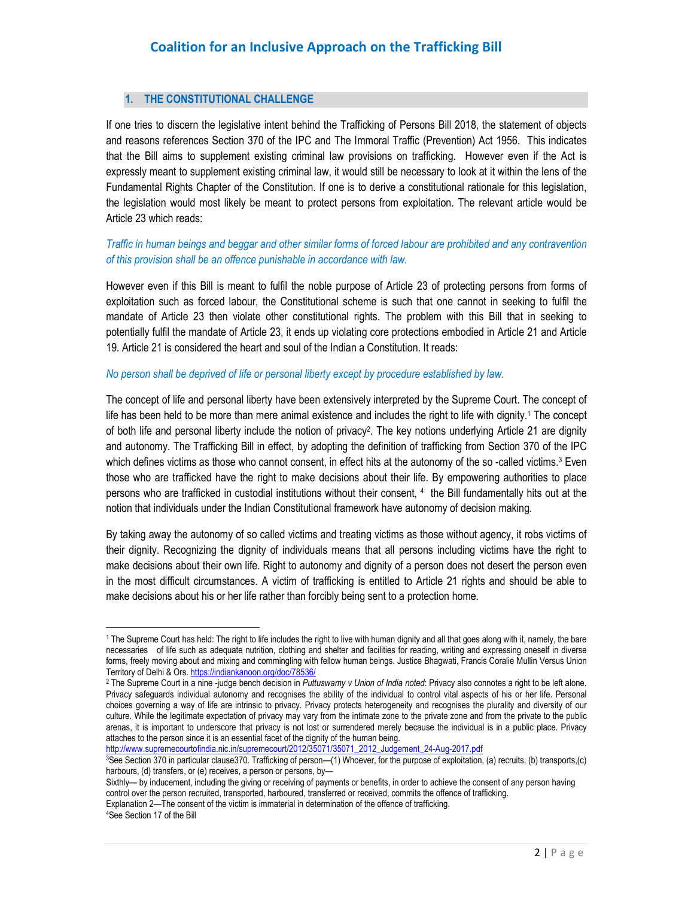#### **1. THE CONSTITUTIONAL CHALLENGE**

If one tries to discern the legislative intent behind the Trafficking of Persons Bill 2018, the statement of objects and reasons references Section 370 of the IPC and The Immoral Traffic (Prevention) Act 1956. This indicates that the Bill aims to supplement existing criminal law provisions on trafficking. However even if the Act is expressly meant to supplement existing criminal law, it would still be necessary to look at it within the lens of the Fundamental Rights Chapter of the Constitution. If one is to derive a constitutional rationale for this legislation, the legislation would most likely be meant to protect persons from exploitation. The relevant article would be Article 23 which reads:

### *Traffic in human beings and beggar and other similar forms of forced labour are prohibited and any contravention of this provision shall be an offence punishable in accordance with law.*

However even if this Bill is meant to fulfil the noble purpose of Article 23 of protecting persons from forms of exploitation such as forced labour, the Constitutional scheme is such that one cannot in seeking to fulfil the mandate of Article 23 then violate other constitutional rights. The problem with this Bill that in seeking to potentially fulfil the mandate of Article 23, it ends up violating core protections embodied in Article 21 and Article 19. Article 21 is considered the heart and soul of the Indian a Constitution. It reads:

#### *No person shall be deprived of life or personal liberty except by procedure established by law.*

The concept of life and personal liberty have been extensively interpreted by the Supreme Court. The concept of life has been held to be more than mere animal existence and includes the right to life with dignity.<sup>1</sup> The concept of both life and personal liberty include the notion of privacy<sup>2</sup>. The key notions underlying Article 21 are dignity and autonomy. The Trafficking Bill in effect, by adopting the definition of trafficking from Section 370 of the IPC which defines victims as those who cannot consent, in effect hits at the autonomy of the so -called victims.<sup>3</sup> Even those who are trafficked have the right to make decisions about their life. By empowering authorities to place persons who are trafficked in custodial institutions without their consent, <sup>4</sup> the Bill fundamentally hits out at the notion that individuals under the Indian Constitutional framework have autonomy of decision making.

By taking away the autonomy of so called victims and treating victims as those without agency, it robs victims of their dignity. Recognizing the dignity of individuals means that all persons including victims have the right to make decisions about their own life. Right to autonomy and dignity of a person does not desert the person even in the most difficult circumstances. A victim of trafficking is entitled to Article 21 rights and should be able to make decisions about his or her life rather than forcibly being sent to a protection home.

http://www.supremecourtofindia.nic.in/supremecourt/2012/35071/35071\_2012\_Judgement\_24-Aug-2017.pdf

Sixthly— by inducement, including the giving or receiving of payments or benefits, in order to achieve the consent of any person having control over the person recruited, transported, harboured, transferred or received, commits the offence of trafficking. Explanation 2—The consent of the victim is immaterial in determination of the offence of trafficking.

4See Section 17 of the Bill

1

<sup>1</sup> The Supreme Court has held: The right to life includes the right to live with human dignity and all that goes along with it, namely, the bare necessaries of life such as adequate nutrition, clothing and shelter and facilities for reading, writing and expressing oneself in diverse forms, freely moving about and mixing and commingling with fellow human beings. Justice Bhagwati, Francis Coralie Mullin Versus Union Territory of Delhi & Ors. https://indiankanoon.org/doc/78536/

<sup>2</sup> The Supreme Court in a nine -judge bench decision in *Puttuswamy v Union of India noted*: Privacy also connotes a right to be left alone. Privacy safeguards individual autonomy and recognises the ability of the individual to control vital aspects of his or her life. Personal choices governing a way of life are intrinsic to privacy. Privacy protects heterogeneity and recognises the plurality and diversity of our culture. While the legitimate expectation of privacy may vary from the intimate zone to the private zone and from the private to the public arenas, it is important to underscore that privacy is not lost or surrendered merely because the individual is in a public place. Privacy attaches to the person since it is an essential facet of the dignity of the human being.

<sup>3</sup>See Section 370 in particular clause370. Trafficking of person—(1) Whoever, for the purpose of exploitation, (a) recruits, (b) transports,(c) harbours, (d) transfers, or (e) receives, a person or persons, by-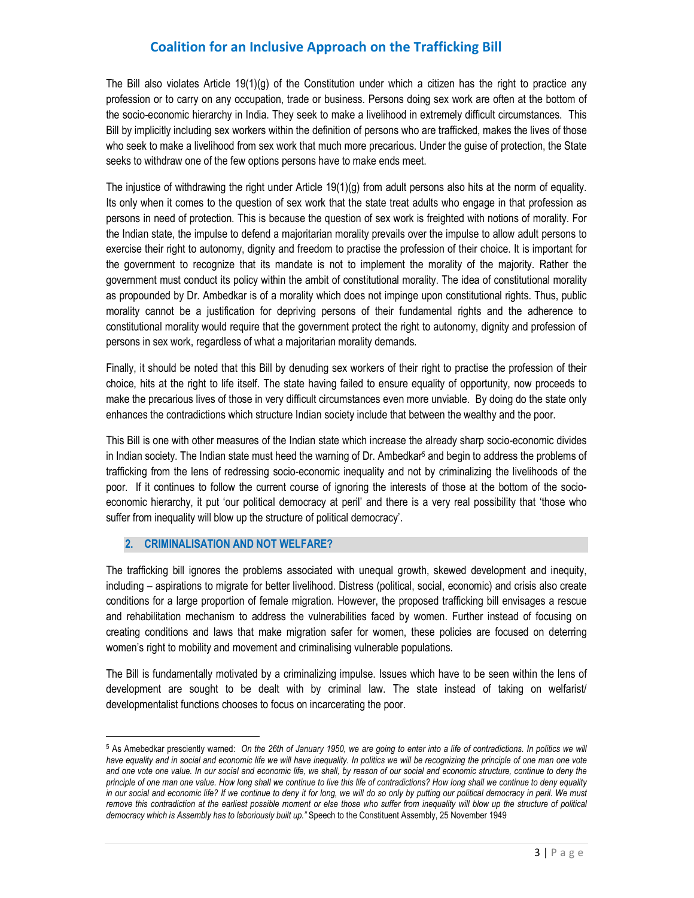The Bill also violates Article 19(1)(g) of the Constitution under which a citizen has the right to practice any profession or to carry on any occupation, trade or business. Persons doing sex work are often at the bottom of the socio-economic hierarchy in India. They seek to make a livelihood in extremely difficult circumstances. This Bill by implicitly including sex workers within the definition of persons who are trafficked, makes the lives of those who seek to make a livelihood from sex work that much more precarious. Under the guise of protection, the State seeks to withdraw one of the few options persons have to make ends meet.

The injustice of withdrawing the right under Article 19(1)(g) from adult persons also hits at the norm of equality. Its only when it comes to the question of sex work that the state treat adults who engage in that profession as persons in need of protection. This is because the question of sex work is freighted with notions of morality. For the Indian state, the impulse to defend a majoritarian morality prevails over the impulse to allow adult persons to exercise their right to autonomy, dignity and freedom to practise the profession of their choice. It is important for the government to recognize that its mandate is not to implement the morality of the majority. Rather the government must conduct its policy within the ambit of constitutional morality. The idea of constitutional morality as propounded by Dr. Ambedkar is of a morality which does not impinge upon constitutional rights. Thus, public morality cannot be a justification for depriving persons of their fundamental rights and the adherence to constitutional morality would require that the government protect the right to autonomy, dignity and profession of persons in sex work, regardless of what a majoritarian morality demands.

Finally, it should be noted that this Bill by denuding sex workers of their right to practise the profession of their choice, hits at the right to life itself. The state having failed to ensure equality of opportunity, now proceeds to make the precarious lives of those in very difficult circumstances even more unviable. By doing do the state only enhances the contradictions which structure Indian society include that between the wealthy and the poor.

This Bill is one with other measures of the Indian state which increase the already sharp socio-economic divides in Indian society. The Indian state must heed the warning of Dr. Ambedkar<sup>5</sup> and begin to address the problems of trafficking from the lens of redressing socio-economic inequality and not by criminalizing the livelihoods of the poor. If it continues to follow the current course of ignoring the interests of those at the bottom of the socioeconomic hierarchy, it put 'our political democracy at peril' and there is a very real possibility that 'those who suffer from inequality will blow up the structure of political democracy'.

### **2. CRIMINALISATION AND NOT WELFARE?**

1

The trafficking bill ignores the problems associated with unequal growth, skewed development and inequity, including – aspirations to migrate for better livelihood. Distress (political, social, economic) and crisis also create conditions for a large proportion of female migration. However, the proposed trafficking bill envisages a rescue and rehabilitation mechanism to address the vulnerabilities faced by women. Further instead of focusing on creating conditions and laws that make migration safer for women, these policies are focused on deterring women's right to mobility and movement and criminalising vulnerable populations.

The Bill is fundamentally motivated by a criminalizing impulse. Issues which have to be seen within the lens of development are sought to be dealt with by criminal law. The state instead of taking on welfarist/ developmentalist functions chooses to focus on incarcerating the poor.

<sup>5</sup> As Amebedkar presciently warned: *On the 26th of January 1950, we are going to enter into a life of contradictions. In politics we will*  have equality and in social and economic life we will have inequality. In politics we will be recognizing the principle of one man one vote *and one vote one value. In our social and economic life, we shall, by reason of our social and economic structure, continue to deny the principle of one man one value. How long shall we continue to live this life of contradictions? How long shall we continue to deny equality in our social and economic life? If we continue to deny it for long, we will do so only by putting our political democracy in peril. We must remove this contradiction at the earliest possible moment or else those who suffer from inequality will blow up the structure of political democracy which is Assembly has to laboriously built up."* Speech to the Constituent Assembly, 25 November 1949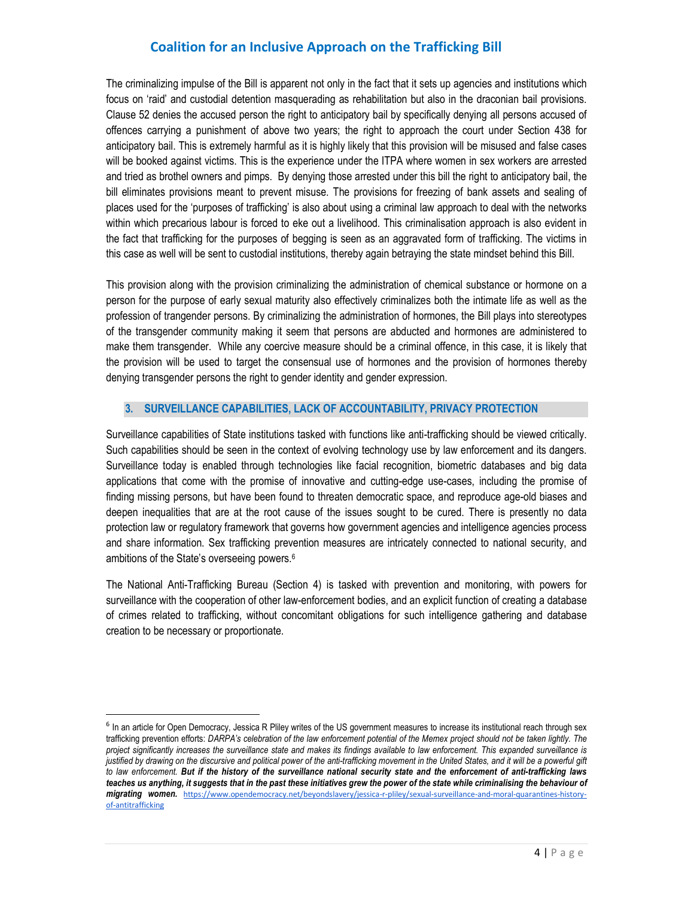The criminalizing impulse of the Bill is apparent not only in the fact that it sets up agencies and institutions which focus on 'raid' and custodial detention masquerading as rehabilitation but also in the draconian bail provisions. Clause 52 denies the accused person the right to anticipatory bail by specifically denying all persons accused of offences carrying a punishment of above two years; the right to approach the court under Section 438 for anticipatory bail. This is extremely harmful as it is highly likely that this provision will be misused and false cases will be booked against victims. This is the experience under the ITPA where women in sex workers are arrested and tried as brothel owners and pimps. By denying those arrested under this bill the right to anticipatory bail, the bill eliminates provisions meant to prevent misuse. The provisions for freezing of bank assets and sealing of places used for the 'purposes of trafficking' is also about using a criminal law approach to deal with the networks within which precarious labour is forced to eke out a livelihood. This criminalisation approach is also evident in the fact that trafficking for the purposes of begging is seen as an aggravated form of trafficking. The victims in this case as well will be sent to custodial institutions, thereby again betraying the state mindset behind this Bill.

This provision along with the provision criminalizing the administration of chemical substance or hormone on a person for the purpose of early sexual maturity also effectively criminalizes both the intimate life as well as the profession of trangender persons. By criminalizing the administration of hormones, the Bill plays into stereotypes of the transgender community making it seem that persons are abducted and hormones are administered to make them transgender. While any coercive measure should be a criminal offence, in this case, it is likely that the provision will be used to target the consensual use of hormones and the provision of hormones thereby denying transgender persons the right to gender identity and gender expression.

### **3. SURVEILLANCE CAPABILITIES, LACK OF ACCOUNTABILITY, PRIVACY PROTECTION**

Surveillance capabilities of State institutions tasked with functions like anti-trafficking should be viewed critically. Such capabilities should be seen in the context of evolving technology use by law enforcement and its dangers. Surveillance today is enabled through technologies like facial recognition, biometric databases and big data applications that come with the promise of innovative and cutting-edge use-cases, including the promise of finding missing persons, but have been found to threaten democratic space, and reproduce age-old biases and deepen inequalities that are at the root cause of the issues sought to be cured. There is presently no data protection law or regulatory framework that governs how government agencies and intelligence agencies process and share information. Sex trafficking prevention measures are intricately connected to national security, and ambitions of the State's overseeing powers.<sup>6</sup>

The National Anti-Trafficking Bureau (Section 4) is tasked with prevention and monitoring, with powers for surveillance with the cooperation of other law-enforcement bodies, and an explicit function of creating a database of crimes related to trafficking, without concomitant obligations for such intelligence gathering and database creation to be necessary or proportionate.

1

<sup>&</sup>lt;sup>6</sup> In an article for Open Democracy, Jessica R Pliley writes of the US government measures to increase its institutional reach through sex trafficking prevention efforts: *DARPA's celebration of the law enforcement potential of the Memex project should not be taken lightly. The project significantly increases the surveillance state and makes its findings available to law enforcement. This expanded surveillance is*  justified by drawing on the discursive and political power of the anti-trafficking movement in the United States, and it will be a powerful gift *to law enforcement. But if the history of the surveillance national security state and the enforcement of anti-trafficking laws*  teaches us anything, it suggests that in the past these initiatives grew the power of the state while criminalising the behaviour of *migrating women.* https://www.opendemocracy.net/beyondslavery/jessica-r-pliley/sexual-surveillance-and-moral-quarantines-historyof-antitrafficking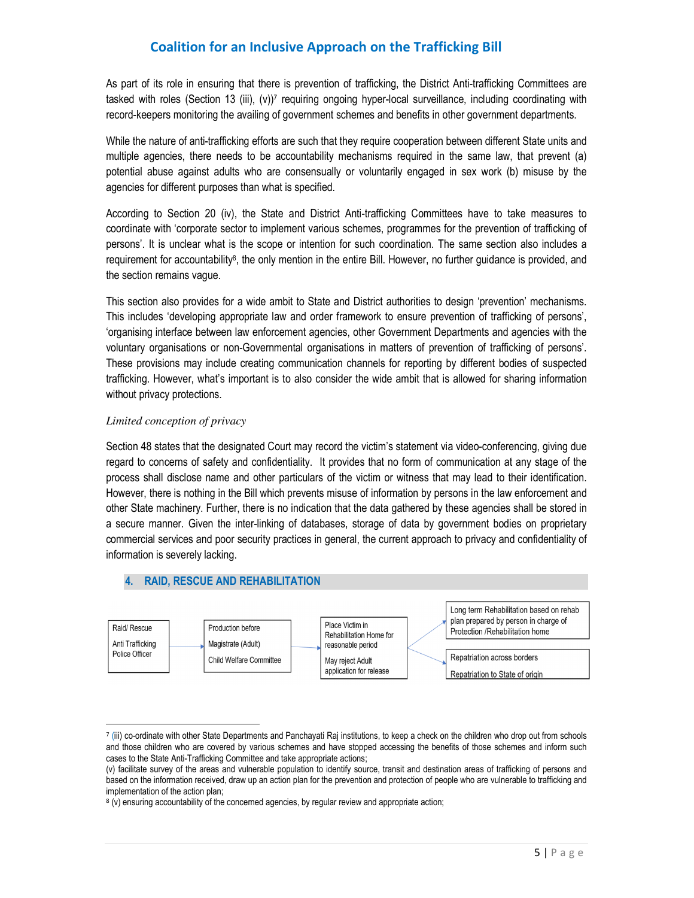As part of its role in ensuring that there is prevention of trafficking, the District Anti-trafficking Committees are tasked with roles (Section 13 (iii), (v))<sup>7</sup> requiring ongoing hyper-local surveillance, including coordinating with record-keepers monitoring the availing of government schemes and benefits in other government departments.

While the nature of anti-trafficking efforts are such that they require cooperation between different State units and multiple agencies, there needs to be accountability mechanisms required in the same law, that prevent (a) potential abuse against adults who are consensually or voluntarily engaged in sex work (b) misuse by the agencies for different purposes than what is specified.

According to Section 20 (iv), the State and District Anti-trafficking Committees have to take measures to coordinate with 'corporate sector to implement various schemes, programmes for the prevention of trafficking of persons'. It is unclear what is the scope or intention for such coordination. The same section also includes a requirement for accountability<sup>s</sup>, the only mention in the entire Bill. However, no further guidance is provided, and the section remains vague.

This section also provides for a wide ambit to State and District authorities to design 'prevention' mechanisms. This includes 'developing appropriate law and order framework to ensure prevention of trafficking of persons', 'organising interface between law enforcement agencies, other Government Departments and agencies with the voluntary organisations or non-Governmental organisations in matters of prevention of trafficking of persons'. These provisions may include creating communication channels for reporting by different bodies of suspected trafficking. However, what's important is to also consider the wide ambit that is allowed for sharing information without privacy protections.

#### *Limited conception of privacy*

l,

Section 48 states that the designated Court may record the victim's statement via video-conferencing, giving due regard to concerns of safety and confidentiality. It provides that no form of communication at any stage of the process shall disclose name and other particulars of the victim or witness that may lead to their identification. However, there is nothing in the Bill which prevents misuse of information by persons in the law enforcement and other State machinery. Further, there is no indication that the data gathered by these agencies shall be stored in a secure manner. Given the inter-linking of databases, storage of data by government bodies on proprietary commercial services and poor security practices in general, the current approach to privacy and confidentiality of information is severely lacking.



<sup>7</sup> (iii) co-ordinate with other State Departments and Panchayati Raj institutions, to keep a check on the children who drop out from schools and those children who are covered by various schemes and have stopped accessing the benefits of those schemes and inform such cases to the State Anti-Trafficking Committee and take appropriate actions;

<sup>(</sup>v) facilitate survey of the areas and vulnerable population to identify source, transit and destination areas of trafficking of persons and based on the information received, draw up an action plan for the prevention and protection of people who are vulnerable to trafficking and implementation of the action plan;

<sup>&</sup>lt;sup>8</sup> (v) ensuring accountability of the concerned agencies, by regular review and appropriate action;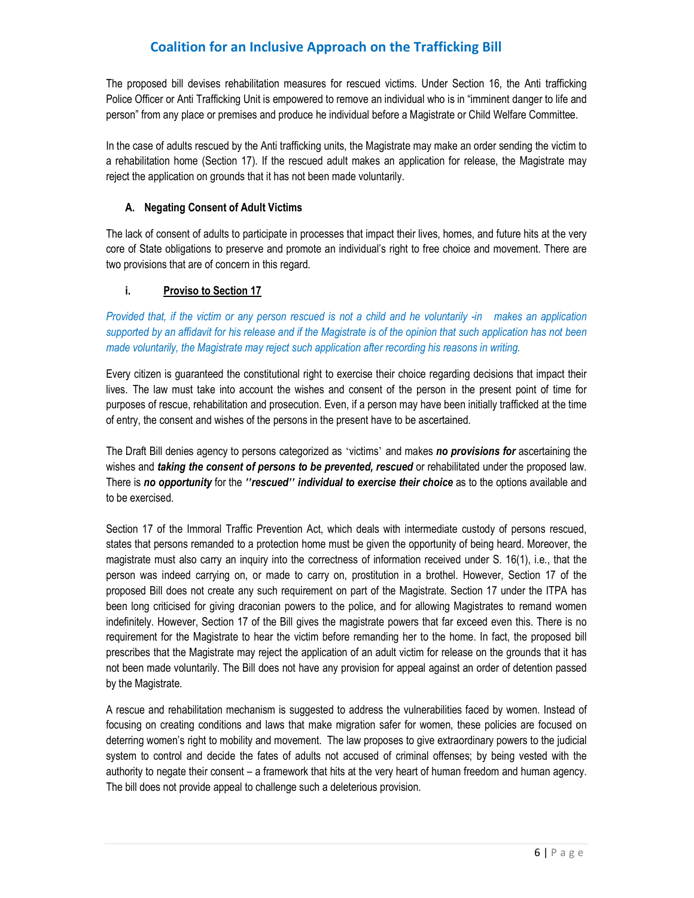The proposed bill devises rehabilitation measures for rescued victims. Under Section 16, the Anti trafficking Police Officer or Anti Trafficking Unit is empowered to remove an individual who is in "imminent danger to life and person" from any place or premises and produce he individual before a Magistrate or Child Welfare Committee.

In the case of adults rescued by the Anti trafficking units, the Magistrate may make an order sending the victim to a rehabilitation home (Section 17). If the rescued adult makes an application for release, the Magistrate may reject the application on grounds that it has not been made voluntarily.

### **A. Negating Consent of Adult Victims**

The lack of consent of adults to participate in processes that impact their lives, homes, and future hits at the very core of State obligations to preserve and promote an individual's right to free choice and movement. There are two provisions that are of concern in this regard.

### **i. Proviso to Section 17**

*Provided that, if the victim or any person rescued is not a child and he voluntarily -in makes an application supported by an affidavit for his release and if the Magistrate is of the opinion that such application has not been made voluntarily, the Magistrate may reject such application after recording his reasons in writing.*

Every citizen is guaranteed the constitutional right to exercise their choice regarding decisions that impact their lives. The law must take into account the wishes and consent of the person in the present point of time for purposes of rescue, rehabilitation and prosecution. Even, if a person may have been initially trafficked at the time of entry, the consent and wishes of the persons in the present have to be ascertained.

The Draft Bill denies agency to persons categorized as 'victims' and makes *no provisions for* ascertaining the wishes and *taking the consent of persons to be prevented, rescued* or rehabilitated under the proposed law. There is *no opportunity* for the *"rescued" individual to exercise their choice* as to the options available and to be exercised.

Section 17 of the Immoral Traffic Prevention Act, which deals with intermediate custody of persons rescued, states that persons remanded to a protection home must be given the opportunity of being heard. Moreover, the magistrate must also carry an inquiry into the correctness of information received under S. 16(1), i.e., that the person was indeed carrying on, or made to carry on, prostitution in a brothel. However, Section 17 of the proposed Bill does not create any such requirement on part of the Magistrate. Section 17 under the ITPA has been long criticised for giving draconian powers to the police, and for allowing Magistrates to remand women indefinitely. However, Section 17 of the Bill gives the magistrate powers that far exceed even this. There is no requirement for the Magistrate to hear the victim before remanding her to the home. In fact, the proposed bill prescribes that the Magistrate may reject the application of an adult victim for release on the grounds that it has not been made voluntarily. The Bill does not have any provision for appeal against an order of detention passed by the Magistrate.

A rescue and rehabilitation mechanism is suggested to address the vulnerabilities faced by women. Instead of focusing on creating conditions and laws that make migration safer for women, these policies are focused on deterring women's right to mobility and movement. The law proposes to give extraordinary powers to the judicial system to control and decide the fates of adults not accused of criminal offenses; by being vested with the authority to negate their consent – a framework that hits at the very heart of human freedom and human agency. The bill does not provide appeal to challenge such a deleterious provision.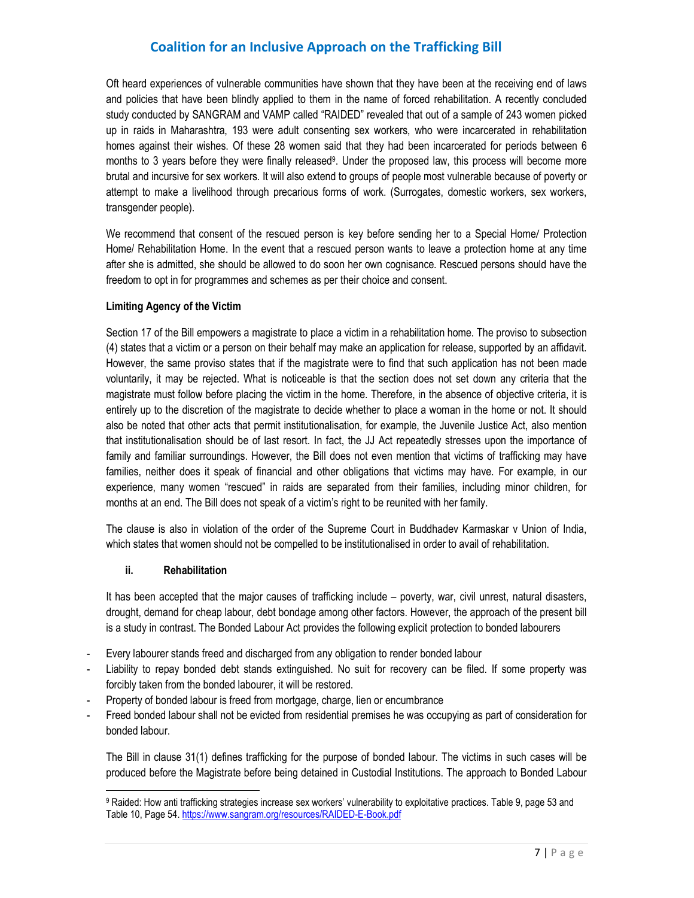Oft heard experiences of vulnerable communities have shown that they have been at the receiving end of laws and policies that have been blindly applied to them in the name of forced rehabilitation. A recently concluded study conducted by SANGRAM and VAMP called "RAIDED" revealed that out of a sample of 243 women picked up in raids in Maharashtra, 193 were adult consenting sex workers, who were incarcerated in rehabilitation homes against their wishes. Of these 28 women said that they had been incarcerated for periods between 6 months to 3 years before they were finally released<sup>9</sup>. Under the proposed law, this process will become more brutal and incursive for sex workers. It will also extend to groups of people most vulnerable because of poverty or attempt to make a livelihood through precarious forms of work. (Surrogates, domestic workers, sex workers, transgender people).

We recommend that consent of the rescued person is key before sending her to a Special Home/ Protection Home/ Rehabilitation Home. In the event that a rescued person wants to leave a protection home at any time after she is admitted, she should be allowed to do soon her own cognisance. Rescued persons should have the freedom to opt in for programmes and schemes as per their choice and consent.

#### **Limiting Agency of the Victim**

Section 17 of the Bill empowers a magistrate to place a victim in a rehabilitation home. The proviso to subsection (4) states that a victim or a person on their behalf may make an application for release, supported by an affidavit. However, the same proviso states that if the magistrate were to find that such application has not been made voluntarily, it may be rejected. What is noticeable is that the section does not set down any criteria that the magistrate must follow before placing the victim in the home. Therefore, in the absence of objective criteria, it is entirely up to the discretion of the magistrate to decide whether to place a woman in the home or not. It should also be noted that other acts that permit institutionalisation, for example, the Juvenile Justice Act, also mention that institutionalisation should be of last resort. In fact, the JJ Act repeatedly stresses upon the importance of family and familiar surroundings. However, the Bill does not even mention that victims of trafficking may have families, neither does it speak of financial and other obligations that victims may have. For example, in our experience, many women "rescued" in raids are separated from their families, including minor children, for months at an end. The Bill does not speak of a victim's right to be reunited with her family.

The clause is also in violation of the order of the Supreme Court in Buddhadev Karmaskar v Union of India, which states that women should not be compelled to be institutionalised in order to avail of rehabilitation.

#### **ii. Rehabilitation**

l,

It has been accepted that the major causes of trafficking include – poverty, war, civil unrest, natural disasters, drought, demand for cheap labour, debt bondage among other factors. However, the approach of the present bill is a study in contrast. The Bonded Labour Act provides the following explicit protection to bonded labourers

- Every labourer stands freed and discharged from any obligation to render bonded labour
- Liability to repay bonded debt stands extinguished. No suit for recovery can be filed. If some property was forcibly taken from the bonded labourer, it will be restored.
- Property of bonded labour is freed from mortgage, charge, lien or encumbrance
- Freed bonded labour shall not be evicted from residential premises he was occupying as part of consideration for bonded labour.

The Bill in clause 31(1) defines trafficking for the purpose of bonded labour. The victims in such cases will be produced before the Magistrate before being detained in Custodial Institutions. The approach to Bonded Labour

<sup>&</sup>lt;sup>9</sup> Raided: How anti trafficking strategies increase sex workers' vulnerability to exploitative practices. Table 9, page 53 and Table 10, Page 54. https://www.sangram.org/resources/RAIDED-E-Book.pdf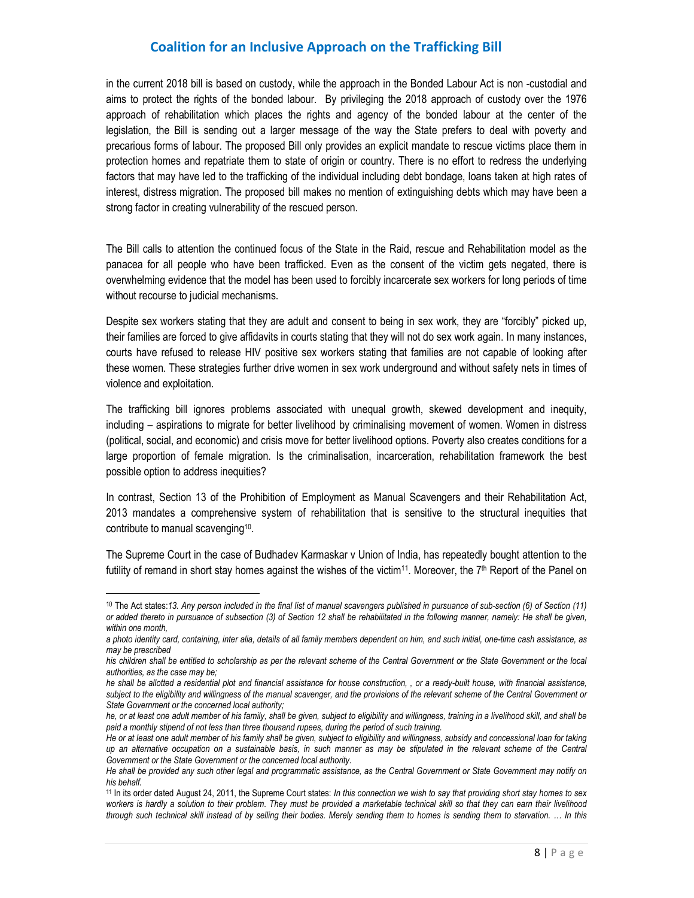in the current 2018 bill is based on custody, while the approach in the Bonded Labour Act is non -custodial and aims to protect the rights of the bonded labour. By privileging the 2018 approach of custody over the 1976 approach of rehabilitation which places the rights and agency of the bonded labour at the center of the legislation, the Bill is sending out a larger message of the way the State prefers to deal with poverty and precarious forms of labour. The proposed Bill only provides an explicit mandate to rescue victims place them in protection homes and repatriate them to state of origin or country. There is no effort to redress the underlying factors that may have led to the trafficking of the individual including debt bondage, loans taken at high rates of interest, distress migration. The proposed bill makes no mention of extinguishing debts which may have been a strong factor in creating vulnerability of the rescued person.

The Bill calls to attention the continued focus of the State in the Raid, rescue and Rehabilitation model as the panacea for all people who have been trafficked. Even as the consent of the victim gets negated, there is overwhelming evidence that the model has been used to forcibly incarcerate sex workers for long periods of time without recourse to judicial mechanisms.

Despite sex workers stating that they are adult and consent to being in sex work, they are "forcibly" picked up, their families are forced to give affidavits in courts stating that they will not do sex work again. In many instances, courts have refused to release HIV positive sex workers stating that families are not capable of looking after these women. These strategies further drive women in sex work underground and without safety nets in times of violence and exploitation.

The trafficking bill ignores problems associated with unequal growth, skewed development and inequity, including – aspirations to migrate for better livelihood by criminalising movement of women. Women in distress (political, social, and economic) and crisis move for better livelihood options. Poverty also creates conditions for a large proportion of female migration. Is the criminalisation, incarceration, rehabilitation framework the best possible option to address inequities?

In contrast, Section 13 of the Prohibition of Employment as Manual Scavengers and their Rehabilitation Act, 2013 mandates a comprehensive system of rehabilitation that is sensitive to the structural inequities that contribute to manual scavenging<sup>10</sup> .

The Supreme Court in the case of Budhadev Karmaskar v Union of India, has repeatedly bought attention to the futility of remand in short stay homes against the wishes of the victim<sup>11</sup>. Moreover, the 7<sup>th</sup> Report of the Panel on

l,

<sup>10</sup> The Act states:*13. Any person included in the final list of manual scavengers published in pursuance of sub-section (6) of Section (11) or added thereto in pursuance of subsection (3) of Section 12 shall be rehabilitated in the following manner, namely: He shall be given, within one month,* 

*a photo identity card, containing, inter alia, details of all family members dependent on him, and such initial, one-time cash assistance, as may be prescribed* 

*his children shall be entitled to scholarship as per the relevant scheme of the Central Government or the State Government or the local authorities, as the case may be;* 

*he shall be allotted a residential plot and financial assistance for house construction, , or a ready-built house, with financial assistance, subject to the eligibility and willingness of the manual scavenger, and the provisions of the relevant scheme of the Central Government or State Government or the concerned local authority;* 

*he, or at least one adult member of his family, shall be given, subject to eligibility and willingness, training in a livelihood skill, and shall be paid a monthly stipend of not less than three thousand rupees, during the period of such training.* 

*He or at least one adult member of his family shall be given, subject to eligibility and willingness, subsidy and concessional loan for taking up an alternative occupation on a sustainable basis, in such manner as may be stipulated in the relevant scheme of the Central Government or the State Government or the concerned local authority.* 

*He shall be provided any such other legal and programmatic assistance, as the Central Government or State Government may notify on his behalf.* 

<sup>11</sup> In its order dated August 24, 2011, the Supreme Court states: *In this connection we wish to say that providing short stay homes to sex workers is hardly a solution to their problem. They must be provided a marketable technical skill so that they can earn their livelihood through such technical skill instead of by selling their bodies. Merely sending them to homes is sending them to starvation. … In this*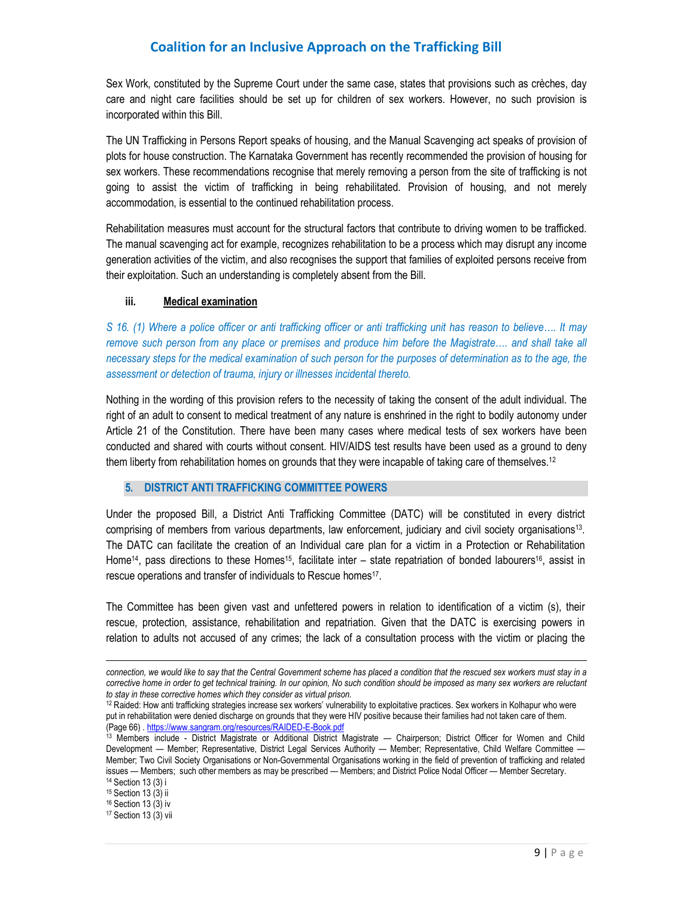Sex Work, constituted by the Supreme Court under the same case, states that provisions such as crèches, day care and night care facilities should be set up for children of sex workers. However, no such provision is incorporated within this Bill.

The UN Trafficking in Persons Report speaks of housing, and the Manual Scavenging act speaks of provision of plots for house construction. The Karnataka Government has recently recommended the provision of housing for sex workers. These recommendations recognise that merely removing a person from the site of trafficking is not going to assist the victim of trafficking in being rehabilitated. Provision of housing, and not merely accommodation, is essential to the continued rehabilitation process.

Rehabilitation measures must account for the structural factors that contribute to driving women to be trafficked. The manual scavenging act for example, recognizes rehabilitation to be a process which may disrupt any income generation activities of the victim, and also recognises the support that families of exploited persons receive from their exploitation. Such an understanding is completely absent from the Bill.

#### **iii. Medical examination**

*S 16. (1) Where a police officer or anti trafficking officer or anti trafficking unit has reason to believe…. It may*  remove such person from any place or premises and produce him before the Magistrate.... and shall take all *necessary steps for the medical examination of such person for the purposes of determination as to the age, the assessment or detection of trauma, injury or illnesses incidental thereto.* 

Nothing in the wording of this provision refers to the necessity of taking the consent of the adult individual. The right of an adult to consent to medical treatment of any nature is enshrined in the right to bodily autonomy under Article 21 of the Constitution. There have been many cases where medical tests of sex workers have been conducted and shared with courts without consent. HIV/AIDS test results have been used as a ground to deny them liberty from rehabilitation homes on grounds that they were incapable of taking care of themselves.<sup>12</sup>

### **5. DISTRICT ANTI TRAFFICKING COMMITTEE POWERS**

Under the proposed Bill, a District Anti Trafficking Committee (DATC) will be constituted in every district comprising of members from various departments, law enforcement, judiciary and civil society organisations<sup>13</sup> . The DATC can facilitate the creation of an Individual care plan for a victim in a Protection or Rehabilitation Home<sup>14</sup>, pass directions to these Homes<sup>15</sup>, facilitate inter – state repatriation of bonded labourers<sup>16</sup>, assist in rescue operations and transfer of individuals to Rescue homes<sup>17</sup>.

The Committee has been given vast and unfettered powers in relation to identification of a victim (s), their rescue, protection, assistance, rehabilitation and repatriation. Given that the DATC is exercising powers in relation to adults not accused of any crimes; the lack of a consultation process with the victim or placing the

<sup>15</sup> Section 13 (3) ii

l

<sup>16</sup> Section 13 (3) iv

<sup>17</sup> Section 13 (3) vii

*connection, we would like to say that the Central Government scheme has placed a condition that the rescued sex workers must stay in a corrective home in order to get technical training. In our opinion, No such condition should be imposed as many sex workers are reluctant to stay in these corrective homes which they consider as virtual prison.*

<sup>12</sup> Raided: How anti trafficking strategies increase sex workers' vulnerability to exploitative practices. Sex workers in Kolhapur who were put in rehabilitation were denied discharge on grounds that they were HIV positive because their families had not taken care of them. (Page 66) . https://www.sangram.org/resources/RAIDED-E-Book.pdf

<sup>&</sup>lt;sup>13</sup> Members include - District Magistrate or Additional District Magistrate — Chairperson; District Officer for Women and Child Development — Member; Representative, District Legal Services Authority — Member; Representative, Child Welfare Committee — Member; Two Civil Society Organisations or Non-Governmental Organisations working in the field of prevention of trafficking and related issues — Members; such other members as may be prescribed — Members; and District Police Nodal Officer — Member Secretary. <sup>14</sup> Section 13 (3) i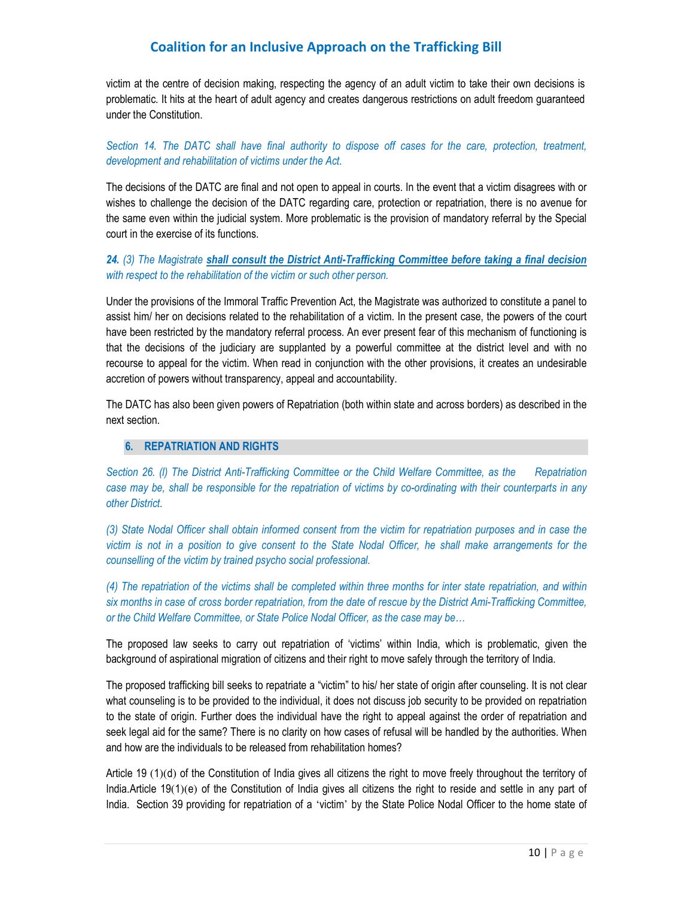victim at the centre of decision making, respecting the agency of an adult victim to take their own decisions is problematic. It hits at the heart of adult agency and creates dangerous restrictions on adult freedom guaranteed under the Constitution.

*Section 14. The DATC shall have final authority to dispose off cases for the care, protection, treatment, development and rehabilitation of victims under the Act.* 

The decisions of the DATC are final and not open to appeal in courts. In the event that a victim disagrees with or wishes to challenge the decision of the DATC regarding care, protection or repatriation, there is no avenue for the same even within the judicial system. More problematic is the provision of mandatory referral by the Special court in the exercise of its functions.

*24. (3) The Magistrate shall consult the District Anti-Trafficking Committee before taking a final decision with respect to the rehabilitation of the victim or such other person.*

Under the provisions of the Immoral Traffic Prevention Act, the Magistrate was authorized to constitute a panel to assist him/ her on decisions related to the rehabilitation of a victim. In the present case, the powers of the court have been restricted by the mandatory referral process. An ever present fear of this mechanism of functioning is that the decisions of the judiciary are supplanted by a powerful committee at the district level and with no recourse to appeal for the victim. When read in conjunction with the other provisions, it creates an undesirable accretion of powers without transparency, appeal and accountability.

The DATC has also been given powers of Repatriation (both within state and across borders) as described in the next section.

#### **6. REPATRIATION AND RIGHTS**

*Section 26. (l) The District Anti-Trafficking Committee or the Child Welfare Committee, as the Repatriation case may be, shall be responsible for the repatriation of victims by co-ordinating with their counterparts in any other District.*

*(3) State Nodal Officer shall obtain informed consent from the victim for repatriation purposes and in case the victim is not in a position to give consent to the State Nodal Officer, he shall make arrangements for the counselling of the victim by trained psycho social professional.* 

*(4) The repatriation of the victims shall be completed within three months for inter state repatriation, and within six months in case of cross border repatriation, from the date of rescue by the District Ami-Trafficking Committee, or the Child Welfare Committee, or State Police Nodal Officer, as the case may be…*

The proposed law seeks to carry out repatriation of 'victims' within India, which is problematic, given the background of aspirational migration of citizens and their right to move safely through the territory of India.

The proposed trafficking bill seeks to repatriate a "victim" to his/ her state of origin after counseling. It is not clear what counseling is to be provided to the individual, it does not discuss job security to be provided on repatriation to the state of origin. Further does the individual have the right to appeal against the order of repatriation and seek legal aid for the same? There is no clarity on how cases of refusal will be handled by the authorities. When and how are the individuals to be released from rehabilitation homes?

 Article 19 (1)(d) of the Constitution of India gives all citizens the right to move freely throughout the territory of India.Article 19(1)(e) of the Constitution of India gives all citizens the right to reside and settle in any part of India. Section 39 providing for repatriation of a 'victim' by the State Police Nodal Officer to the home state of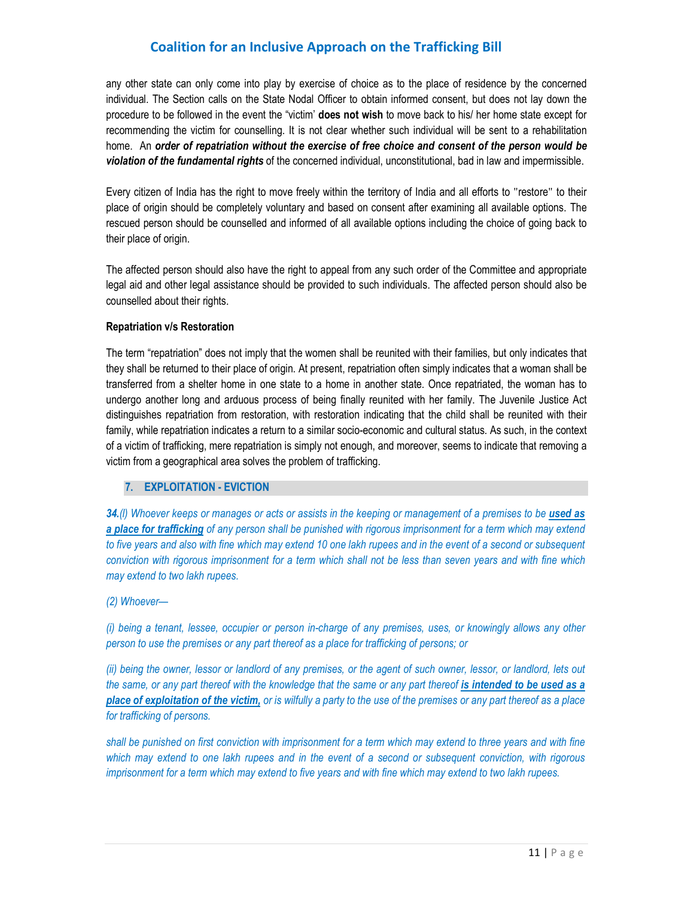any other state can only come into play by exercise of choice as to the place of residence by the concerned individual. The Section calls on the State Nodal Officer to obtain informed consent, but does not lay down the procedure to be followed in the event the "victim' **does not wish** to move back to his/ her home state except for recommending the victim for counselling. It is not clear whether such individual will be sent to a rehabilitation home. An *order of repatriation without the exercise of free choice and consent of the person would be violation of the fundamental rights* of the concerned individual, unconstitutional, bad in law and impermissible.

 Every citizen of India has the right to move freely within the territory of India and all efforts to "restore" to their place of origin should be completely voluntary and based on consent after examining all available options. The rescued person should be counselled and informed of all available options including the choice of going back to their place of origin.

The affected person should also have the right to appeal from any such order of the Committee and appropriate legal aid and other legal assistance should be provided to such individuals. The affected person should also be counselled about their rights.

#### **Repatriation v/s Restoration**

The term "repatriation" does not imply that the women shall be reunited with their families, but only indicates that they shall be returned to their place of origin. At present, repatriation often simply indicates that a woman shall be transferred from a shelter home in one state to a home in another state. Once repatriated, the woman has to undergo another long and arduous process of being finally reunited with her family. The Juvenile Justice Act distinguishes repatriation from restoration, with restoration indicating that the child shall be reunited with their family, while repatriation indicates a return to a similar socio-economic and cultural status. As such, in the context of a victim of trafficking, mere repatriation is simply not enough, and moreover, seems to indicate that removing a victim from a geographical area solves the problem of trafficking.

### **7. EXPLOITATION - EVICTION**

34.*(I)* Whoever keeps or manages or acts or assists in the keeping or management of a premises to be used as *a place for trafficking* of any person shall be punished with rigorous imprisonment for a term which may extend *to five years and also with fine which may extend 10 one lakh rupees and in the event of a second or subsequent conviction with rigorous imprisonment for a term which shall not be less than seven years and with fine which may extend to two lakh rupees.* 

#### *(2) Whoever—*

*(i) being a tenant, lessee, occupier or person in-charge of any premises, uses, or knowingly allows any other person to use the premises or any part thereof as a place for trafficking of persons; or* 

*(ii) being the owner, lessor or landlord of any premises, or the agent of such owner, lessor, or landlord, lets out the same, or any part thereof with the knowledge that the same or any part thereof is intended to be used as a place of exploitation of the victim, or is wilfully a party to the use of the premises or any part thereof as a place for trafficking of persons.* 

*shall be punished on first conviction with imprisonment for a term which may extend to three years and with fine which may extend to one lakh rupees and in the event of a second or subsequent conviction, with rigorous imprisonment for a term which may extend to five years and with fine which may extend to two lakh rupees.*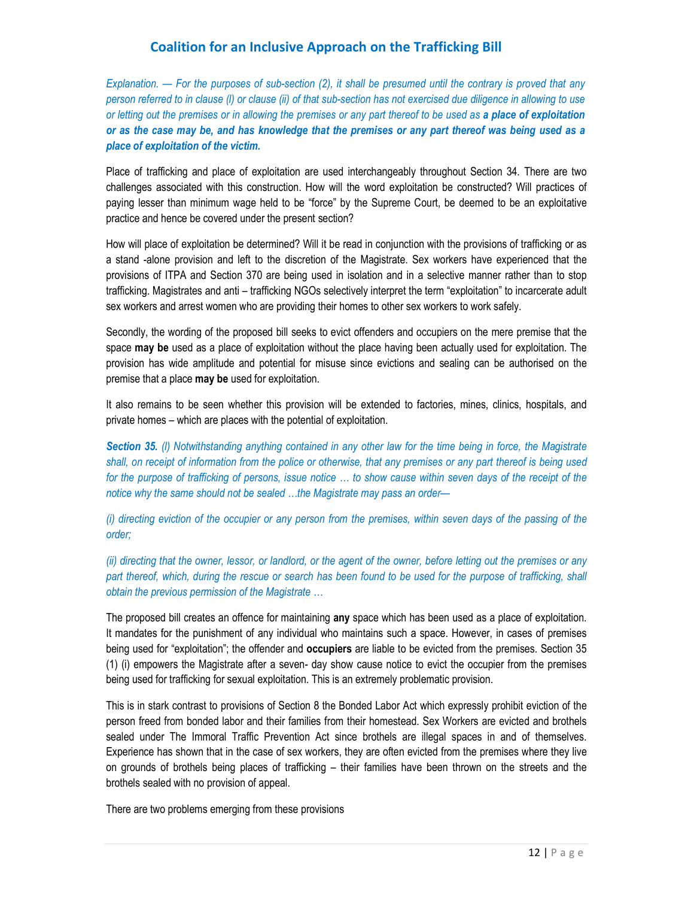*Explanation. — For the purposes of sub-section (2), it shall be presumed until the contrary is proved that any person referred to in clause (l) or clause (ii) of that sub-section has not exercised due diligence in allowing to use or letting out the premises or in allowing the premises or any part thereof to be used as a place of exploitation or as the case may be, and has knowledge that the premises or any part thereof was being used as a place of exploitation of the victim.* 

Place of trafficking and place of exploitation are used interchangeably throughout Section 34. There are two challenges associated with this construction. How will the word exploitation be constructed? Will practices of paying lesser than minimum wage held to be "force" by the Supreme Court, be deemed to be an exploitative practice and hence be covered under the present section?

How will place of exploitation be determined? Will it be read in conjunction with the provisions of trafficking or as a stand -alone provision and left to the discretion of the Magistrate. Sex workers have experienced that the provisions of ITPA and Section 370 are being used in isolation and in a selective manner rather than to stop trafficking. Magistrates and anti – trafficking NGOs selectively interpret the term "exploitation" to incarcerate adult sex workers and arrest women who are providing their homes to other sex workers to work safely.

Secondly, the wording of the proposed bill seeks to evict offenders and occupiers on the mere premise that the space **may be** used as a place of exploitation without the place having been actually used for exploitation. The provision has wide amplitude and potential for misuse since evictions and sealing can be authorised on the premise that a place **may be** used for exploitation.

It also remains to be seen whether this provision will be extended to factories, mines, clinics, hospitals, and private homes – which are places with the potential of exploitation.

*Section 35. (l) Notwithstanding anything contained in any other law for the time being in force, the Magistrate shall, on receipt of information from the police or otherwise, that any premises or any part thereof is being used*  for the purpose of trafficking of persons, issue notice ... to show cause within seven days of the receipt of the *notice why the same should not be sealed …the Magistrate may pass an order—* 

*(i) directing eviction of the occupier or any person from the premises, within seven days of the passing of the order;* 

*(ii) directing that the owner, lessor, or landlord, or the agent of the owner, before letting out the premises or any*  part thereof, which, during the rescue or search has been found to be used for the purpose of trafficking, shall *obtain the previous permission of the Magistrate …* 

The proposed bill creates an offence for maintaining **any** space which has been used as a place of exploitation. It mandates for the punishment of any individual who maintains such a space. However, in cases of premises being used for "exploitation"; the offender and **occupiers** are liable to be evicted from the premises. Section 35 (1) (i) empowers the Magistrate after a seven- day show cause notice to evict the occupier from the premises being used for trafficking for sexual exploitation. This is an extremely problematic provision.

This is in stark contrast to provisions of Section 8 the Bonded Labor Act which expressly prohibit eviction of the person freed from bonded labor and their families from their homestead. Sex Workers are evicted and brothels sealed under The Immoral Traffic Prevention Act since brothels are illegal spaces in and of themselves. Experience has shown that in the case of sex workers, they are often evicted from the premises where they live on grounds of brothels being places of trafficking – their families have been thrown on the streets and the brothels sealed with no provision of appeal.

There are two problems emerging from these provisions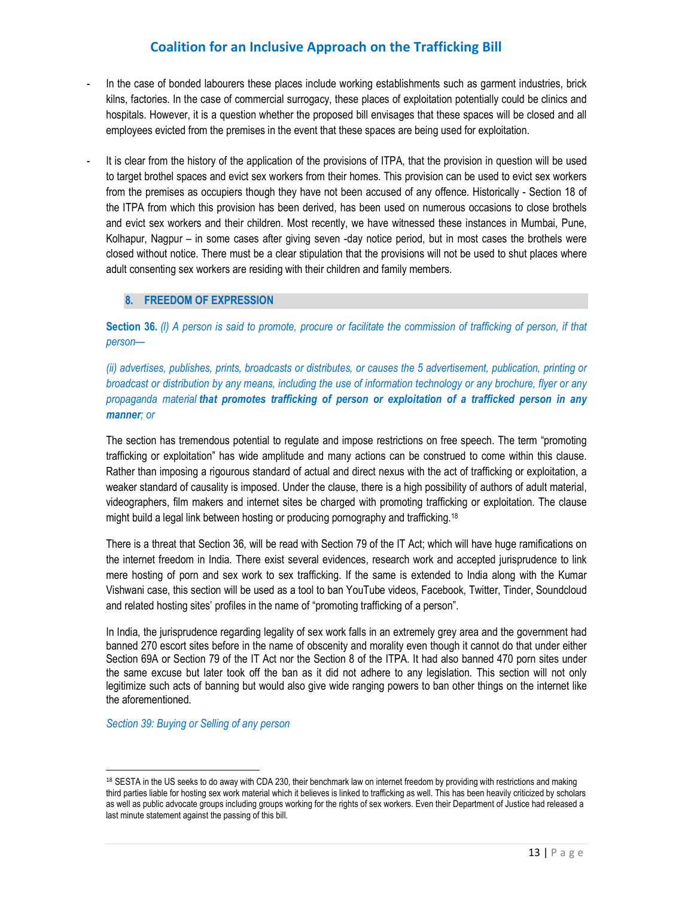- In the case of bonded labourers these places include working establishments such as garment industries, brick kilns, factories. In the case of commercial surrogacy, these places of exploitation potentially could be clinics and hospitals. However, it is a question whether the proposed bill envisages that these spaces will be closed and all employees evicted from the premises in the event that these spaces are being used for exploitation.
- It is clear from the history of the application of the provisions of ITPA, that the provision in question will be used to target brothel spaces and evict sex workers from their homes. This provision can be used to evict sex workers from the premises as occupiers though they have not been accused of any offence. Historically - Section 18 of the ITPA from which this provision has been derived, has been used on numerous occasions to close brothels and evict sex workers and their children. Most recently, we have witnessed these instances in Mumbai, Pune, Kolhapur, Nagpur – in some cases after giving seven -day notice period, but in most cases the brothels were closed without notice. There must be a clear stipulation that the provisions will not be used to shut places where adult consenting sex workers are residing with their children and family members.

### **8. FREEDOM OF EXPRESSION**

**Section 36.** *(l) A person is said to promote, procure or facilitate the commission of trafficking of person, if that person—*

*(ii) advertises, publishes, prints, broadcasts or distributes, or causes the 5 advertisement, publication, printing or broadcast or distribution by any means, including the use of information technology or any brochure, flyer or any propaganda material that promotes trafficking of person or exploitation of a trafficked person in any manner; or*

The section has tremendous potential to regulate and impose restrictions on free speech. The term "promoting trafficking or exploitation" has wide amplitude and many actions can be construed to come within this clause. Rather than imposing a rigourous standard of actual and direct nexus with the act of trafficking or exploitation, a weaker standard of causality is imposed. Under the clause, there is a high possibility of authors of adult material, videographers, film makers and internet sites be charged with promoting trafficking or exploitation. The clause might build a legal link between hosting or producing pornography and trafficking.<sup>18</sup>

There is a threat that Section 36, will be read with Section 79 of the IT Act; which will have huge ramifications on the internet freedom in India. There exist several evidences, research work and accepted jurisprudence to link mere hosting of porn and sex work to sex trafficking. If the same is extended to India along with the Kumar Vishwani case, this section will be used as a tool to ban YouTube videos, Facebook, Twitter, Tinder, Soundcloud and related hosting sites' profiles in the name of "promoting trafficking of a person".

In India, the jurisprudence regarding legality of sex work falls in an extremely grey area and the government had banned 270 escort sites before in the name of obscenity and morality even though it cannot do that under either Section 69A or Section 79 of the IT Act nor the Section 8 of the ITPA. It had also banned 470 porn sites under the same excuse but later took off the ban as it did not adhere to any legislation. This section will not only legitimize such acts of banning but would also give wide ranging powers to ban other things on the internet like the aforementioned.

*Section 39: Buying or Selling of any person*

1

<sup>18</sup> SESTA in the US seeks to do away with CDA 230, their benchmark law on internet freedom by providing with restrictions and making third parties liable for hosting sex work material which it believes is linked to trafficking as well. This has been heavily criticized by scholars as well as public advocate groups including groups working for the rights of sex workers. Even their Department of Justice had released a last minute statement against the passing of this bill.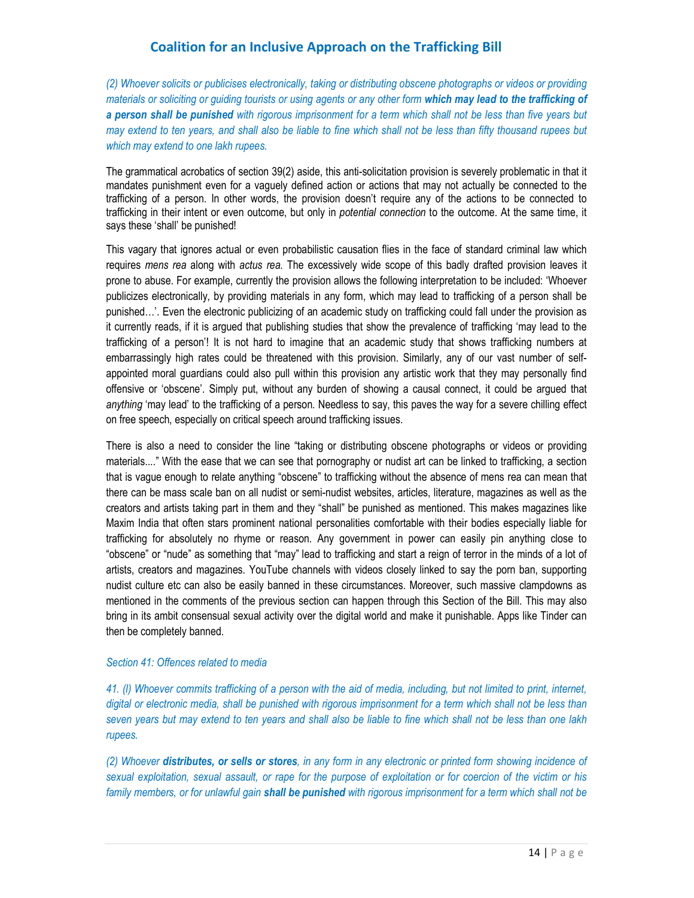*(2) Whoever solicits or publicises electronically, taking or distributing obscene photographs or videos or providing materials or soliciting or guiding tourists or using agents or any other form which may lead to the trafficking of a person shall be punished with rigorous imprisonment for a term which shall not be less than five years but may extend to ten years, and shall also be liable to fine which shall not be less than fifty thousand rupees but which may extend to one lakh rupees.*

The grammatical acrobatics of section 39(2) aside, this anti-solicitation provision is severely problematic in that it mandates punishment even for a vaguely defined action or actions that may not actually be connected to the trafficking of a person. In other words, the provision doesn't require any of the actions to be connected to trafficking in their intent or even outcome, but only in *potential connection* to the outcome. At the same time, it says these 'shall' be punished!

This vagary that ignores actual or even probabilistic causation flies in the face of standard criminal law which requires *mens rea* along with *actus rea*. The excessively wide scope of this badly drafted provision leaves it prone to abuse. For example, currently the provision allows the following interpretation to be included: 'Whoever publicizes electronically, by providing materials in any form, which may lead to trafficking of a person shall be punished…'. Even the electronic publicizing of an academic study on trafficking could fall under the provision as it currently reads, if it is argued that publishing studies that show the prevalence of trafficking 'may lead to the trafficking of a person'! It is not hard to imagine that an academic study that shows trafficking numbers at embarrassingly high rates could be threatened with this provision. Similarly, any of our vast number of selfappointed moral guardians could also pull within this provision any artistic work that they may personally find offensive or 'obscene'. Simply put, without any burden of showing a causal connect, it could be argued that *anything* 'may lead' to the trafficking of a person. Needless to say, this paves the way for a severe chilling effect on free speech, especially on critical speech around trafficking issues.

There is also a need to consider the line "taking or distributing obscene photographs or videos or providing materials...." With the ease that we can see that pornography or nudist art can be linked to trafficking, a section that is vague enough to relate anything "obscene" to trafficking without the absence of mens rea can mean that there can be mass scale ban on all nudist or semi-nudist websites, articles, literature, magazines as well as the creators and artists taking part in them and they "shall" be punished as mentioned. This makes magazines like Maxim India that often stars prominent national personalities comfortable with their bodies especially liable for trafficking for absolutely no rhyme or reason. Any government in power can easily pin anything close to "obscene" or "nude" as something that "may" lead to trafficking and start a reign of terror in the minds of a lot of artists, creators and magazines. YouTube channels with videos closely linked to say the porn ban, supporting nudist culture etc can also be easily banned in these circumstances. Moreover, such massive clampdowns as mentioned in the comments of the previous section can happen through this Section of the Bill. This may also bring in its ambit consensual sexual activity over the digital world and make it punishable. Apps like Tinder can then be completely banned.

#### *Section 41: Offences related to media*

*41. (l) Whoever commits trafficking of a person with the aid of media, including, but not limited to print, internet,*  digital or electronic media, shall be punished with rigorous imprisonment for a term which shall not be less than *seven years but may extend to ten years and shall also be liable to fine which shall not be less than one lakh rupees.*

*(2) Whoever distributes, or sells or stores, in any form in any electronic or printed form showing incidence of sexual exploitation, sexual assault, or rape for the purpose of exploitation or for coercion of the victim or his family members, or for unlawful gain shall be punished with rigorous imprisonment for a term which shall not be*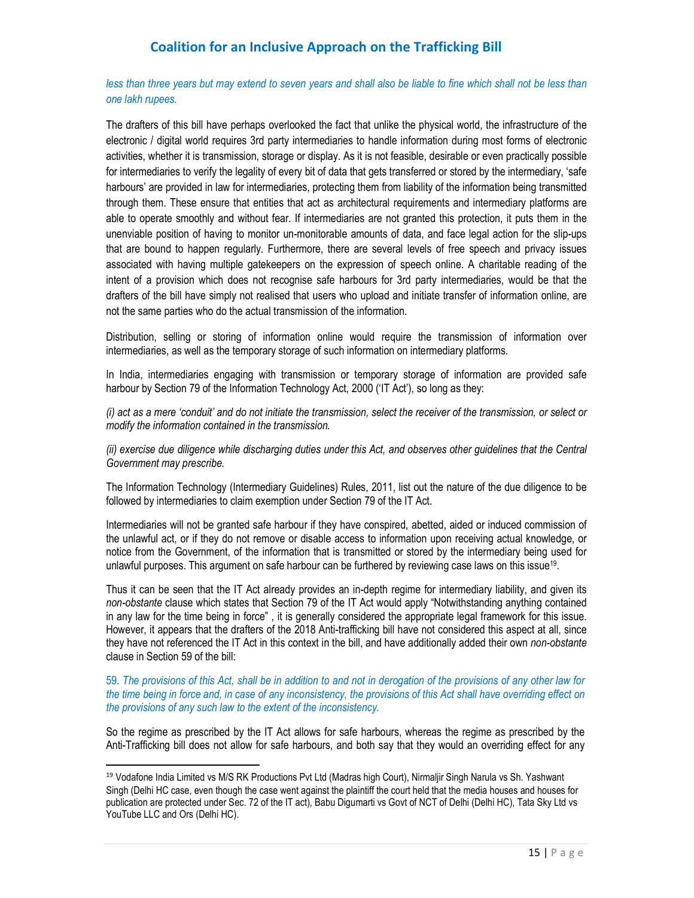*less than three years but may extend to seven years and shall also be liable to fine which shall not be less than one lakh rupees.* 

The drafters of this bill have perhaps overlooked the fact that unlike the physical world, the infrastructure of the electronic / digital world requires 3rd party intermediaries to handle information during most forms of electronic activities, whether it is transmission, storage or display. As it is not feasible, desirable or even practically possible for intermediaries to verify the legality of every bit of data that gets transferred or stored by the intermediary, 'safe harbours' are provided in law for intermediaries, protecting them from liability of the information being transmitted through them. These ensure that entities that act as architectural requirements and intermediary platforms are able to operate smoothly and without fear. If intermediaries are not granted this protection, it puts them in the unenviable position of having to monitor un-monitorable amounts of data, and face legal action for the slip-ups that are bound to happen regularly. Furthermore, there are several levels of free speech and privacy issues associated with having multiple gatekeepers on the expression of speech online. A charitable reading of the intent of a provision which does not recognise safe harbours for 3rd party intermediaries, would be that the drafters of the bill have simply not realised that users who upload and initiate transfer of information online, are not the same parties who do the actual transmission of the information.

Distribution, selling or storing of information online would require the transmission of information over intermediaries, as well as the temporary storage of such information on intermediary platforms.

In India, intermediaries engaging with transmission or temporary storage of information are provided safe harbour by Section 79 of the Information Technology Act, 2000 ('IT Act'), so long as they:

*(i) act as a mere 'conduit' and do not initiate the transmission, select the receiver of the transmission, or select or modify the information contained in the transmission.* 

*(ii) exercise due diligence while discharging duties under this Act, and observes other guidelines that the Central Government may prescribe.* 

The Information Technology (Intermediary Guidelines) Rules, 2011, list out the nature of the due diligence to be followed by intermediaries to claim exemption under Section 79 of the IT Act.

Intermediaries will not be granted safe harbour if they have conspired, abetted, aided or induced commission of the unlawful act, or if they do not remove or disable access to information upon receiving actual knowledge, or notice from the Government, of the information that is transmitted or stored by the intermediary being used for unlawful purposes. This argument on safe harbour can be furthered by reviewing case laws on this issue<sup>19</sup>.

Thus it can be seen that the IT Act already provides an in-depth regime for intermediary liability, and given its *non-obstante* clause which states that Section 79 of the IT Act would apply "Notwithstanding anything contained in any law for the time being in force" , it is generally considered the appropriate legal framework for this issue. However, it appears that the drafters of the 2018 Anti-trafficking bill have not considered this aspect at all, since they have not referenced the IT Act in this context in the bill, and have additionally added their own *non-obstante*  clause in Section 59 of the bill:

59. *The provisions of this Act, shall be in addition to and not in derogation of the provisions of any other law for the time being in force and, in case of any inconsistency, the provisions of this Act shall have overriding effect on the provisions of any such law to the extent of the inconsistency.* 

So the regime as prescribed by the IT Act allows for safe harbours, whereas the regime as prescribed by the Anti-Trafficking bill does not allow for safe harbours, and both say that they would an overriding effect for any

1

<sup>&</sup>lt;sup>19</sup> Vodafone India Limited vs M/S RK Productions Pvt Ltd (Madras high Court), Nirmaljir Singh Narula vs Sh. Yashwant Singh (Delhi HC case, even though the case went against the plaintiff the court held that the media houses and houses for publication are protected under Sec. 72 of the IT act), Babu Digumarti vs Govt of NCT of Delhi (Delhi HC), Tata Sky Ltd vs YouTube LLC and Ors (Delhi HC).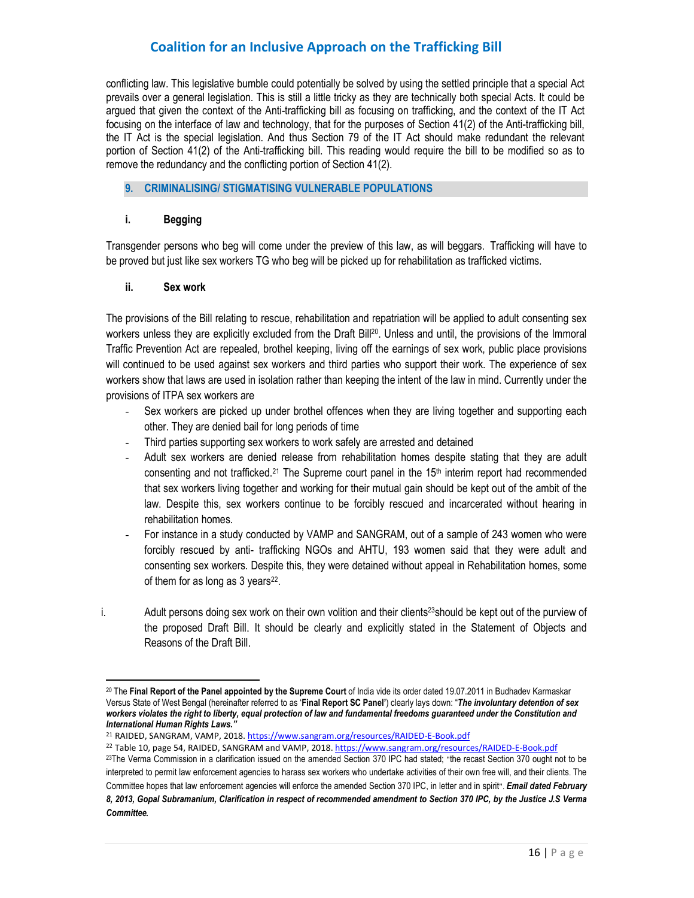conflicting law. This legislative bumble could potentially be solved by using the settled principle that a special Act prevails over a general legislation. This is still a little tricky as they are technically both special Acts. It could be argued that given the context of the Anti-trafficking bill as focusing on trafficking, and the context of the IT Act focusing on the interface of law and technology, that for the purposes of Section 41(2) of the Anti-trafficking bill, the IT Act is the special legislation. And thus Section 79 of the IT Act should make redundant the relevant portion of Section 41(2) of the Anti-trafficking bill. This reading would require the bill to be modified so as to remove the redundancy and the conflicting portion of Section 41(2).

### **9. CRIMINALISING/ STIGMATISING VULNERABLE POPULATIONS**

#### **i. Begging**

Transgender persons who beg will come under the preview of this law, as will beggars. Trafficking will have to be proved but just like sex workers TG who beg will be picked up for rehabilitation as trafficked victims.

#### **ii. Sex work**

l,

The provisions of the Bill relating to rescue, rehabilitation and repatriation will be applied to adult consenting sex workers unless they are explicitly excluded from the Draft Bill<sup>20</sup>. Unless and until, the provisions of the Immoral Traffic Prevention Act are repealed, brothel keeping, living off the earnings of sex work, public place provisions will continued to be used against sex workers and third parties who support their work. The experience of sex workers show that laws are used in isolation rather than keeping the intent of the law in mind. Currently under the provisions of ITPA sex workers are

- Sex workers are picked up under brothel offences when they are living together and supporting each other. They are denied bail for long periods of time
- Third parties supporting sex workers to work safely are arrested and detained
- Adult sex workers are denied release from rehabilitation homes despite stating that they are adult consenting and not trafficked.<sup>21</sup> The Supreme court panel in the 15<sup>th</sup> interim report had recommended that sex workers living together and working for their mutual gain should be kept out of the ambit of the law. Despite this, sex workers continue to be forcibly rescued and incarcerated without hearing in rehabilitation homes.
- For instance in a study conducted by VAMP and SANGRAM, out of a sample of 243 women who were forcibly rescued by anti- trafficking NGOs and AHTU, 193 women said that they were adult and consenting sex workers. Despite this, they were detained without appeal in Rehabilitation homes, some of them for as long as  $3$  years $^{22}$ .
- i. Adult persons doing sex work on their own volition and their clients<sup>23</sup>should be kept out of the purview of the proposed Draft Bill. It should be clearly and explicitly stated in the Statement of Objects and Reasons of the Draft Bill.

<sup>20</sup> The **Final Report of the Panel appointed by the Supreme Court** of India vide its order dated 19.07.2011 in Budhadev Karmaskar Versus State of West Bengal (hereinafter referred to as '**Final Report SC Panel'**) clearly lays down: "*The involuntary detention of sex workers violates the right to liberty, equal protection of law and fundamental freedoms guaranteed under the Constitution and International Human Rights Laws."*

<sup>&</sup>lt;sup>21</sup> RAIDED, SANGRAM, VAMP, 2018. https://www.sangram.org/resources/RAIDED-E-Book.pdf

<sup>&</sup>lt;sup>22</sup> Table 10, page 54, RAIDED, SANGRAM and VAMP, 2018. https://www.sangram.org/resources/RAIDED-E-Book.pdf 23The Verma Commission in a clarification issued on the amended Section 370 IPC had stated; "the recast Section 370 ought not to be interpreted to permit law enforcement agencies to harass sex workers who undertake activities of their own free will, and their clients. The Committee hopes that law enforcement agencies will enforce the amended Section 370 IPC, in letter and in spirit". *Email dated February* 

*<sup>8, 2013,</sup> Gopal Subramanium, Clarification in respect of recommended amendment to Section 370 IPC, by the Justice J.S Verma Committee.*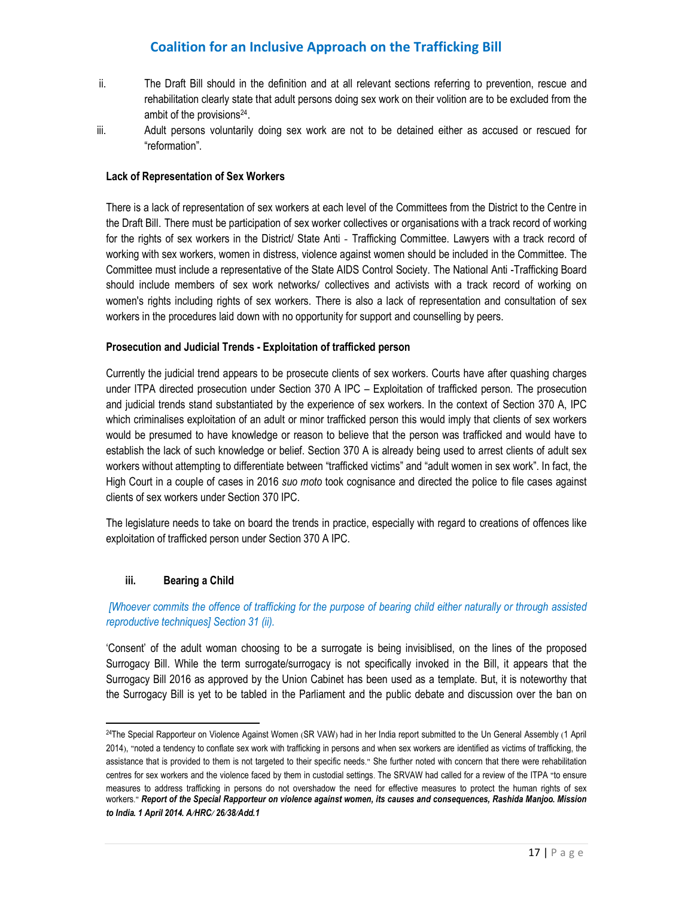- ii. The Draft Bill should in the definition and at all relevant sections referring to prevention, rescue and rehabilitation clearly state that adult persons doing sex work on their volition are to be excluded from the ambit of the provisions<sup>24</sup>.
- iii. Adult persons voluntarily doing sex work are not to be detained either as accused or rescued for "reformation".

#### **Lack of Representation of Sex Workers**

There is a lack of representation of sex workers at each level of the Committees from the District to the Centre in the Draft Bill. There must be participation of sex worker collectives or organisations with a track record of working for the rights of sex workers in the District/ State Anti - Trafficking Committee. Lawyers with a track record of working with sex workers, women in distress, violence against women should be included in the Committee. The Committee must include a representative of the State AIDS Control Society. The National Anti -Trafficking Board should include members of sex work networks/ collectives and activists with a track record of working on women's rights including rights of sex workers. There is also a lack of representation and consultation of sex workers in the procedures laid down with no opportunity for support and counselling by peers.

#### **Prosecution and Judicial Trends - Exploitation of trafficked person**

Currently the judicial trend appears to be prosecute clients of sex workers. Courts have after quashing charges under ITPA directed prosecution under Section 370 A IPC – Exploitation of trafficked person. The prosecution and judicial trends stand substantiated by the experience of sex workers. In the context of Section 370 A, IPC which criminalises exploitation of an adult or minor trafficked person this would imply that clients of sex workers would be presumed to have knowledge or reason to believe that the person was trafficked and would have to establish the lack of such knowledge or belief. Section 370 A is already being used to arrest clients of adult sex workers without attempting to differentiate between "trafficked victims" and "adult women in sex work". In fact, the High Court in a couple of cases in 2016 *suo moto* took cognisance and directed the police to file cases against clients of sex workers under Section 370 IPC.

The legislature needs to take on board the trends in practice, especially with regard to creations of offences like exploitation of trafficked person under Section 370 A IPC.

### **iii. Bearing a Child**

l,

 *[Whoever commits the offence of trafficking for the purpose of bearing child either naturally or through assisted reproductive techniques] Section 31 (ii).* 

'Consent' of the adult woman choosing to be a surrogate is being invisiblised, on the lines of the proposed Surrogacy Bill. While the term surrogate/surrogacy is not specifically invoked in the Bill, it appears that the Surrogacy Bill 2016 as approved by the Union Cabinet has been used as a template. But, it is noteworthy that the Surrogacy Bill is yet to be tabled in the Parliament and the public debate and discussion over the ban on

<sup>24</sup>The Special Rapporteur on Violence Against Women (SR VAW) had in her India report submitted to the Un General Assembly (1 April 2014), "noted a tendency to conflate sex work with trafficking in persons and when sex workers are identified as victims of trafficking, the assistance that is provided to them is not targeted to their specific needs." She further noted with concern that there were rehabilitation centres for sex workers and the violence faced by them in custodial settings. The SRVAW had called for a review of the ITPA "to ensure measures to address trafficking in persons do not overshadow the need for effective measures to protect the human rights of sex workers." *Report of the Special Rapporteur on violence against women, its causes and consequences, Rashida Manjoo. Mission to India. 1 April 2014. A/HRC/ 26/38/Add.1*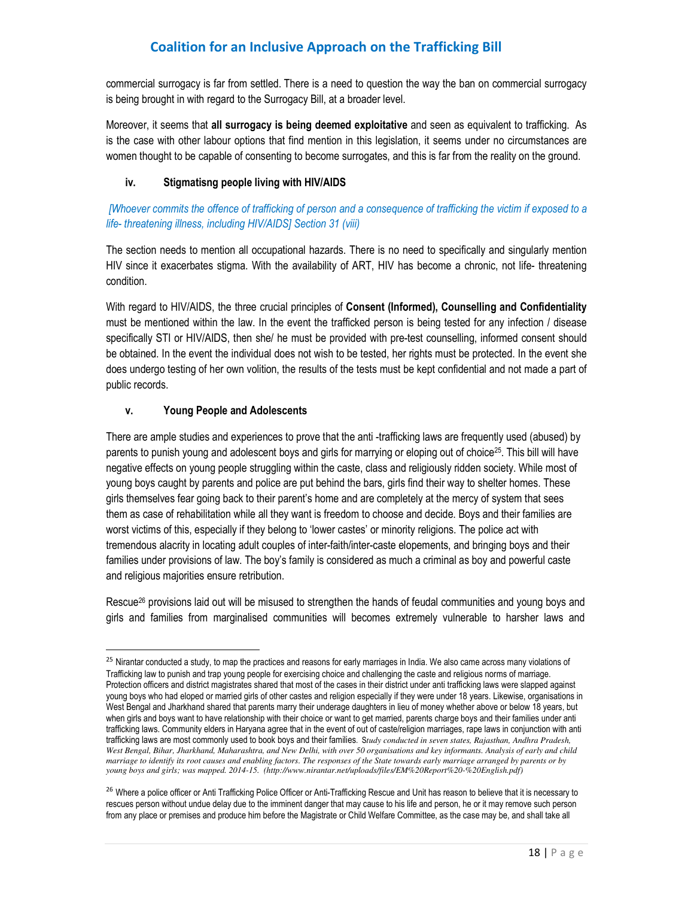commercial surrogacy is far from settled. There is a need to question the way the ban on commercial surrogacy is being brought in with regard to the Surrogacy Bill, at a broader level.

Moreover, it seems that **all surrogacy is being deemed exploitative** and seen as equivalent to trafficking. As is the case with other labour options that find mention in this legislation, it seems under no circumstances are women thought to be capable of consenting to become surrogates, and this is far from the reality on the ground.

### **iv. Stigmatisng people living with HIV/AIDS**

 *[Whoever commits the offence of trafficking of person and a consequence of trafficking the victim if exposed to a life- threatening illness, including HIV/AIDS] Section 31 (viii)* 

The section needs to mention all occupational hazards. There is no need to specifically and singularly mention HIV since it exacerbates stigma. With the availability of ART, HIV has become a chronic, not life- threatening condition.

With regard to HIV/AIDS, the three crucial principles of **Consent (Informed), Counselling and Confidentiality** must be mentioned within the law. In the event the trafficked person is being tested for any infection / disease specifically STI or HIV/AIDS, then she/ he must be provided with pre-test counselling, informed consent should be obtained. In the event the individual does not wish to be tested, her rights must be protected. In the event she does undergo testing of her own volition, the results of the tests must be kept confidential and not made a part of public records.

### **v. Young People and Adolescents**

l,

There are ample studies and experiences to prove that the anti -trafficking laws are frequently used (abused) by parents to punish young and adolescent boys and girls for marrying or eloping out of choice<sup>25</sup>. This bill will have negative effects on young people struggling within the caste, class and religiously ridden society. While most of young boys caught by parents and police are put behind the bars, girls find their way to shelter homes. These girls themselves fear going back to their parent's home and are completely at the mercy of system that sees them as case of rehabilitation while all they want is freedom to choose and decide. Boys and their families are worst victims of this, especially if they belong to 'lower castes' or minority religions. The police act with tremendous alacrity in locating adult couples of inter-faith/inter-caste elopements, and bringing boys and their families under provisions of law. The boy's family is considered as much a criminal as boy and powerful caste and religious majorities ensure retribution.

Rescue<sup>26</sup> provisions laid out will be misused to strengthen the hands of feudal communities and young boys and girls and families from marginalised communities will becomes extremely vulnerable to harsher laws and

<sup>&</sup>lt;sup>25</sup> Nirantar conducted a study, to map the practices and reasons for early marriages in India. We also came across many violations of Trafficking law to punish and trap young people for exercising choice and challenging the caste and religious norms of marriage. Protection officers and district magistrates shared that most of the cases in their district under anti trafficking laws were slapped against young boys who had eloped or married girls of other castes and religion especially if they were under 18 years. Likewise, organisations in West Bengal and Jharkhand shared that parents marry their underage daughters in lieu of money whether above or below 18 years, but when girls and boys want to have relationship with their choice or want to get married, parents charge boys and their families under anti trafficking laws. Community elders in Haryana agree that in the event of out of caste/religion marriages, rape laws in conjunction with anti trafficking laws are most commonly used to book boys and their families. S*tudy conducted in seven states, Rajasthan, Andhra Pradesh, West Bengal, Bihar, Jharkhand, Maharashtra, and New Delhi, with over 50 organisations and key informants. Analysis of early and child marriage to identify its root causes and enabling factors. The responses of the State towards early marriage arranged by parents or by young boys and girls; was mapped. 2014-15. (http://www.nirantar.net/uploads/files/EM%20Report%20-%20English.pdf)*

<sup>&</sup>lt;sup>26</sup> Where a police officer or Anti Trafficking Police Officer or Anti-Trafficking Rescue and Unit has reason to believe that it is necessary to rescues person without undue delay due to the imminent danger that may cause to his life and person, he or it may remove such person from any place or premises and produce him before the Magistrate or Child Welfare Committee, as the case may be, and shall take all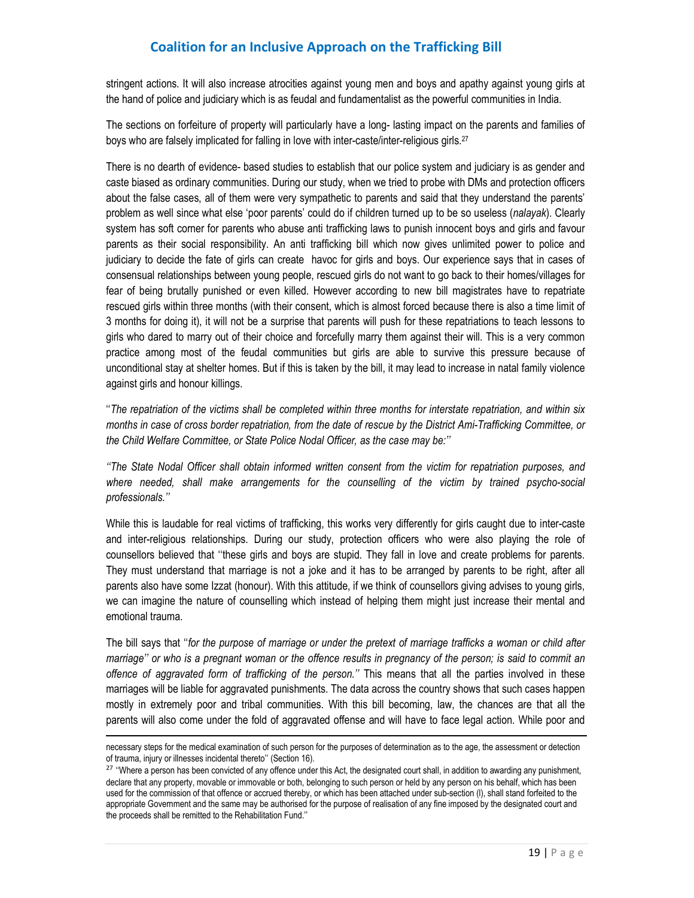stringent actions. It will also increase atrocities against young men and boys and apathy against young girls at the hand of police and judiciary which is as feudal and fundamentalist as the powerful communities in India.

The sections on forfeiture of property will particularly have a long- lasting impact on the parents and families of boys who are falsely implicated for falling in love with inter-caste/inter-religious girls.<sup>27</sup>

There is no dearth of evidence- based studies to establish that our police system and judiciary is as gender and caste biased as ordinary communities. During our study, when we tried to probe with DMs and protection officers about the false cases, all of them were very sympathetic to parents and said that they understand the parents' problem as well since what else 'poor parents' could do if children turned up to be so useless (*nalayak*). Clearly system has soft corner for parents who abuse anti trafficking laws to punish innocent boys and girls and favour parents as their social responsibility. An anti trafficking bill which now gives unlimited power to police and judiciary to decide the fate of girls can create havoc for girls and boys. Our experience says that in cases of consensual relationships between young people, rescued girls do not want to go back to their homes/villages for fear of being brutally punished or even killed. However according to new bill magistrates have to repatriate rescued girls within three months (with their consent, which is almost forced because there is also a time limit of 3 months for doing it), it will not be a surprise that parents will push for these repatriations to teach lessons to girls who dared to marry out of their choice and forcefully marry them against their will. This is a very common practice among most of the feudal communities but girls are able to survive this pressure because of unconditional stay at shelter homes. But if this is taken by the bill, it may lead to increase in natal family violence against girls and honour killings.

''*The repatriation of the victims shall be completed within three months for interstate repatriation, and within six months in case of cross border repatriation, from the date of rescue by the District Ami-Trafficking Committee, or the Child Welfare Committee, or State Police Nodal Officer, as the case may be:''* 

*''The State Nodal Officer shall obtain informed written consent from the victim for repatriation purposes, and where needed, shall make arrangements for the counselling of the victim by trained psycho-social professionals.''* 

While this is laudable for real victims of trafficking, this works very differently for girls caught due to inter-caste and inter-religious relationships. During our study, protection officers who were also playing the role of counsellors believed that ''these girls and boys are stupid. They fall in love and create problems for parents. They must understand that marriage is not a joke and it has to be arranged by parents to be right, after all parents also have some Izzat (honour). With this attitude, if we think of counsellors giving advises to young girls, we can imagine the nature of counselling which instead of helping them might just increase their mental and emotional trauma.

The bill says that ''*for the purpose of marriage or under the pretext of marriage trafficks a woman or child after marriage'' or who is a pregnant woman or the offence results in pregnancy of the person; is said to commit an offence of aggravated form of trafficking of the person.''* This means that all the parties involved in these marriages will be liable for aggravated punishments. The data across the country shows that such cases happen mostly in extremely poor and tribal communities. With this bill becoming, law, the chances are that all the parents will also come under the fold of aggravated offense and will have to face legal action. While poor and

l

necessary steps for the medical examination of such person for the purposes of determination as to the age, the assessment or detection of trauma, injury or illnesses incidental thereto'' (Section 16).

<sup>&</sup>lt;sup>27</sup> "Where a person has been convicted of any offence under this Act, the designated court shall, in addition to awarding any punishment, declare that any property, movable or immovable or both, belonging to such person or held by any person on his behalf, which has been used for the commission of that offence or accrued thereby, or which has been attached under sub-section (l), shall stand forfeited to the appropriate Government and the same may be authorised for the purpose of realisation of any fine imposed by the designated court and the proceeds shall be remitted to the Rehabilitation Fund.''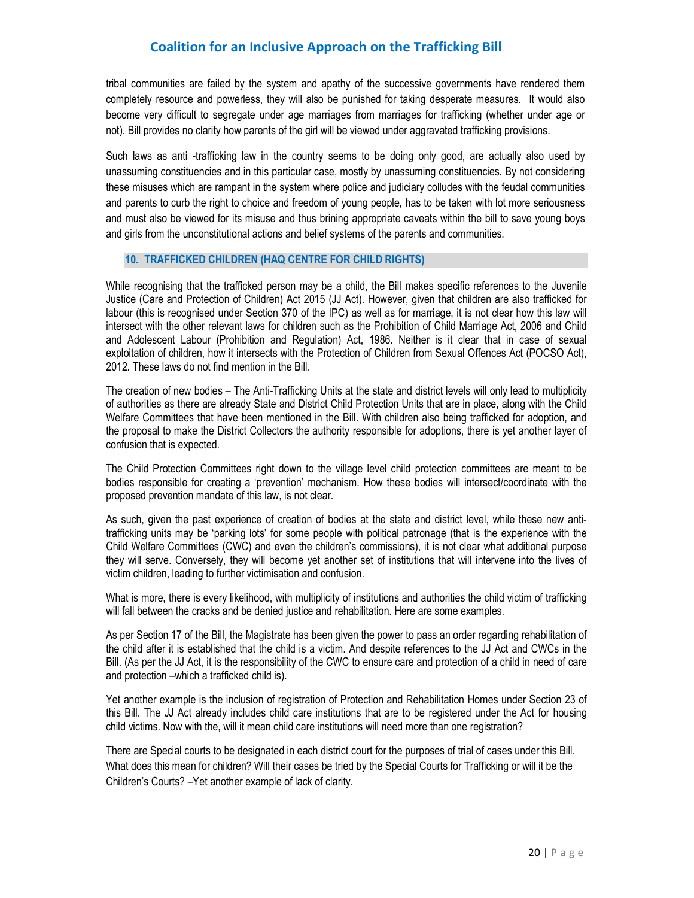tribal communities are failed by the system and apathy of the successive governments have rendered them completely resource and powerless, they will also be punished for taking desperate measures. It would also become very difficult to segregate under age marriages from marriages for trafficking (whether under age or not). Bill provides no clarity how parents of the girl will be viewed under aggravated trafficking provisions.

Such laws as anti -trafficking law in the country seems to be doing only good, are actually also used by unassuming constituencies and in this particular case, mostly by unassuming constituencies. By not considering these misuses which are rampant in the system where police and judiciary colludes with the feudal communities and parents to curb the right to choice and freedom of young people, has to be taken with lot more seriousness and must also be viewed for its misuse and thus brining appropriate caveats within the bill to save young boys and girls from the unconstitutional actions and belief systems of the parents and communities.

#### **10. TRAFFICKED CHILDREN (HAQ CENTRE FOR CHILD RIGHTS)**

While recognising that the trafficked person may be a child, the Bill makes specific references to the Juvenile Justice (Care and Protection of Children) Act 2015 (JJ Act). However, given that children are also trafficked for labour (this is recognised under Section 370 of the IPC) as well as for marriage, it is not clear how this law will intersect with the other relevant laws for children such as the Prohibition of Child Marriage Act, 2006 and Child and Adolescent Labour (Prohibition and Regulation) Act, 1986. Neither is it clear that in case of sexual exploitation of children, how it intersects with the Protection of Children from Sexual Offences Act (POCSO Act), 2012. These laws do not find mention in the Bill.

The creation of new bodies – The Anti-Trafficking Units at the state and district levels will only lead to multiplicity of authorities as there are already State and District Child Protection Units that are in place, along with the Child Welfare Committees that have been mentioned in the Bill. With children also being trafficked for adoption, and the proposal to make the District Collectors the authority responsible for adoptions, there is yet another layer of confusion that is expected.

The Child Protection Committees right down to the village level child protection committees are meant to be bodies responsible for creating a 'prevention' mechanism. How these bodies will intersect/coordinate with the proposed prevention mandate of this law, is not clear.

As such, given the past experience of creation of bodies at the state and district level, while these new antitrafficking units may be 'parking lots' for some people with political patronage (that is the experience with the Child Welfare Committees (CWC) and even the children's commissions), it is not clear what additional purpose they will serve. Conversely, they will become yet another set of institutions that will intervene into the lives of victim children, leading to further victimisation and confusion.

What is more, there is every likelihood, with multiplicity of institutions and authorities the child victim of trafficking will fall between the cracks and be denied justice and rehabilitation. Here are some examples.

As per Section 17 of the Bill, the Magistrate has been given the power to pass an order regarding rehabilitation of the child after it is established that the child is a victim. And despite references to the JJ Act and CWCs in the Bill. (As per the JJ Act, it is the responsibility of the CWC to ensure care and protection of a child in need of care and protection –which a trafficked child is).

Yet another example is the inclusion of registration of Protection and Rehabilitation Homes under Section 23 of this Bill. The JJ Act already includes child care institutions that are to be registered under the Act for housing child victims. Now with the, will it mean child care institutions will need more than one registration?

There are Special courts to be designated in each district court for the purposes of trial of cases under this Bill. What does this mean for children? Will their cases be tried by the Special Courts for Trafficking or will it be the Children's Courts? –Yet another example of lack of clarity.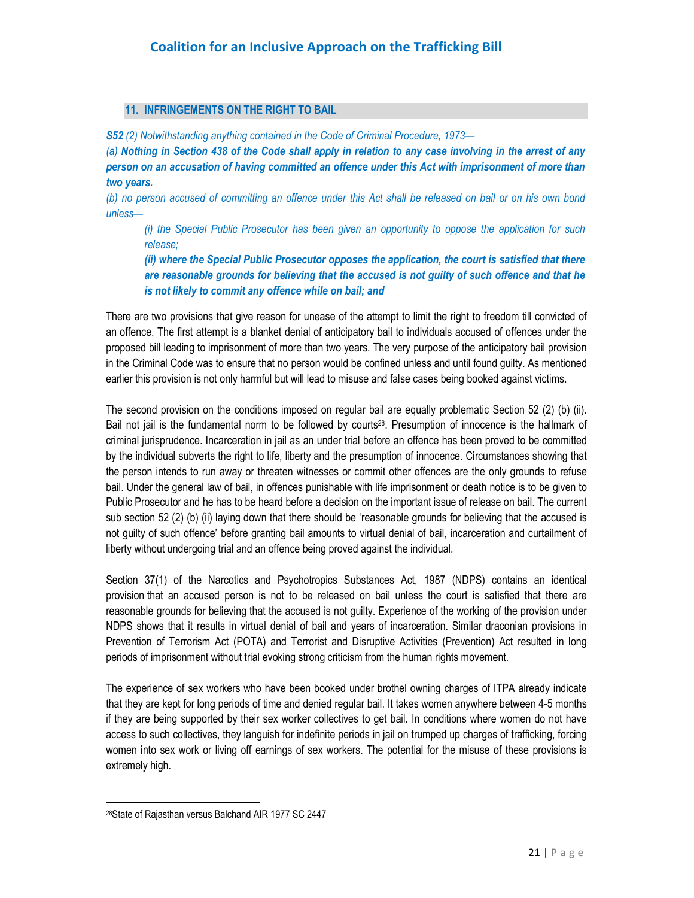### **11. INFRINGEMENTS ON THE RIGHT TO BAIL**

*S52 (2) Notwithstanding anything contained in the Code of Criminal Procedure, 1973—* 

*(a) Nothing in Section 438 of the Code shall apply in relation to any case involving in the arrest of any person on an accusation of having committed an offence under this Act with imprisonment of more than two years.* 

*(b) no person accused of committing an offence under this Act shall be released on bail or on his own bond unless—* 

*(i) the Special Public Prosecutor has been given an opportunity to oppose the application for such release;* 

*(ii) where the Special Public Prosecutor opposes the application, the court is satisfied that there are reasonable grounds for believing that the accused is not guilty of such offence and that he is not likely to commit any offence while on bail; and*

There are two provisions that give reason for unease of the attempt to limit the right to freedom till convicted of an offence. The first attempt is a blanket denial of anticipatory bail to individuals accused of offences under the proposed bill leading to imprisonment of more than two years. The very purpose of the anticipatory bail provision in the Criminal Code was to ensure that no person would be confined unless and until found guilty. As mentioned earlier this provision is not only harmful but will lead to misuse and false cases being booked against victims.

The second provision on the conditions imposed on regular bail are equally problematic Section 52 (2) (b) (ii). Bail not jail is the fundamental norm to be followed by courts<sup>28</sup>. Presumption of innocence is the hallmark of criminal jurisprudence. Incarceration in jail as an under trial before an offence has been proved to be committed by the individual subverts the right to life, liberty and the presumption of innocence. Circumstances showing that the person intends to run away or threaten witnesses or commit other offences are the only grounds to refuse bail. Under the general law of bail, in offences punishable with life imprisonment or death notice is to be given to Public Prosecutor and he has to be heard before a decision on the important issue of release on bail. The current sub section 52 (2) (b) (ii) laying down that there should be 'reasonable grounds for believing that the accused is not guilty of such offence' before granting bail amounts to virtual denial of bail, incarceration and curtailment of liberty without undergoing trial and an offence being proved against the individual.

Section 37(1) of the Narcotics and Psychotropics Substances Act, 1987 (NDPS) contains an identical provision that an accused person is not to be released on bail unless the court is satisfied that there are reasonable grounds for believing that the accused is not guilty. Experience of the working of the provision under NDPS shows that it results in virtual denial of bail and years of incarceration. Similar draconian provisions in Prevention of Terrorism Act (POTA) and Terrorist and Disruptive Activities (Prevention) Act resulted in long periods of imprisonment without trial evoking strong criticism from the human rights movement.

The experience of sex workers who have been booked under brothel owning charges of ITPA already indicate that they are kept for long periods of time and denied regular bail. It takes women anywhere between 4-5 months if they are being supported by their sex worker collectives to get bail. In conditions where women do not have access to such collectives, they languish for indefinite periods in jail on trumped up charges of trafficking, forcing women into sex work or living off earnings of sex workers. The potential for the misuse of these provisions is extremely high.

<u>.</u>

<sup>28</sup>State of Rajasthan versus Balchand AIR 1977 SC 2447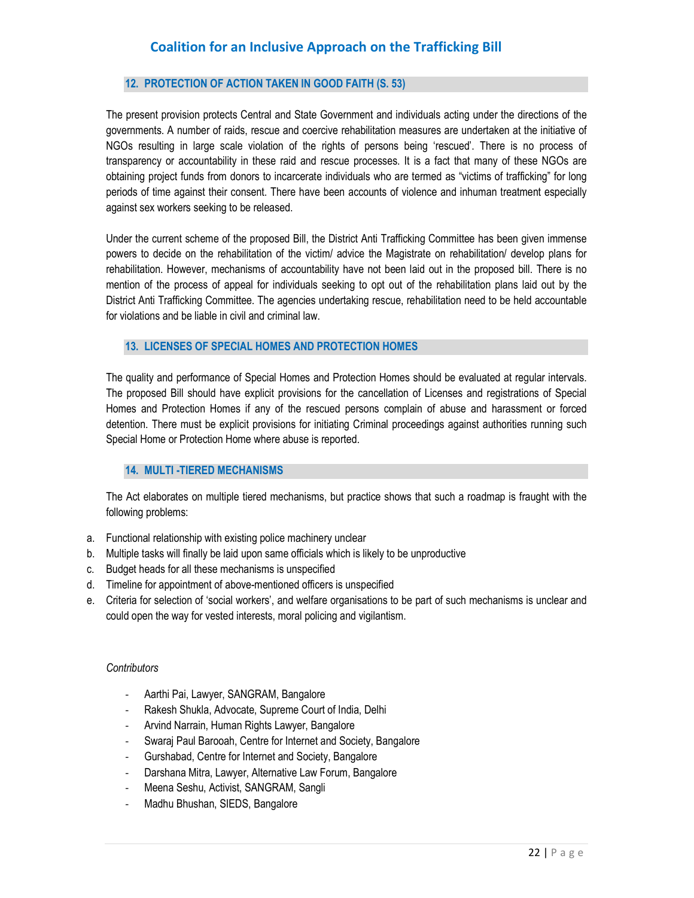### **12. PROTECTION OF ACTION TAKEN IN GOOD FAITH (S. 53)**

The present provision protects Central and State Government and individuals acting under the directions of the governments. A number of raids, rescue and coercive rehabilitation measures are undertaken at the initiative of NGOs resulting in large scale violation of the rights of persons being 'rescued'. There is no process of transparency or accountability in these raid and rescue processes. It is a fact that many of these NGOs are obtaining project funds from donors to incarcerate individuals who are termed as "victims of trafficking" for long periods of time against their consent. There have been accounts of violence and inhuman treatment especially against sex workers seeking to be released.

Under the current scheme of the proposed Bill, the District Anti Trafficking Committee has been given immense powers to decide on the rehabilitation of the victim/ advice the Magistrate on rehabilitation/ develop plans for rehabilitation. However, mechanisms of accountability have not been laid out in the proposed bill. There is no mention of the process of appeal for individuals seeking to opt out of the rehabilitation plans laid out by the District Anti Trafficking Committee. The agencies undertaking rescue, rehabilitation need to be held accountable for violations and be liable in civil and criminal law.

#### **13. LICENSES OF SPECIAL HOMES AND PROTECTION HOMES**

The quality and performance of Special Homes and Protection Homes should be evaluated at regular intervals. The proposed Bill should have explicit provisions for the cancellation of Licenses and registrations of Special Homes and Protection Homes if any of the rescued persons complain of abuse and harassment or forced detention. There must be explicit provisions for initiating Criminal proceedings against authorities running such Special Home or Protection Home where abuse is reported.

### **14. MULTI -TIERED MECHANISMS**

The Act elaborates on multiple tiered mechanisms, but practice shows that such a roadmap is fraught with the following problems:

- a. Functional relationship with existing police machinery unclear
- b. Multiple tasks will finally be laid upon same officials which is likely to be unproductive
- c. Budget heads for all these mechanisms is unspecified
- d. Timeline for appointment of above-mentioned officers is unspecified
- e. Criteria for selection of 'social workers', and welfare organisations to be part of such mechanisms is unclear and could open the way for vested interests, moral policing and vigilantism.

#### *Contributors*

- Aarthi Pai, Lawyer, SANGRAM, Bangalore
- Rakesh Shukla, Advocate, Supreme Court of India, Delhi
- Arvind Narrain, Human Rights Lawyer, Bangalore
- Swaraj Paul Barooah, Centre for Internet and Society, Bangalore
- Gurshabad, Centre for Internet and Society, Bangalore
- Darshana Mitra, Lawyer, Alternative Law Forum, Bangalore
- Meena Seshu, Activist, SANGRAM, Sangli
- Madhu Bhushan, SIEDS, Bangalore